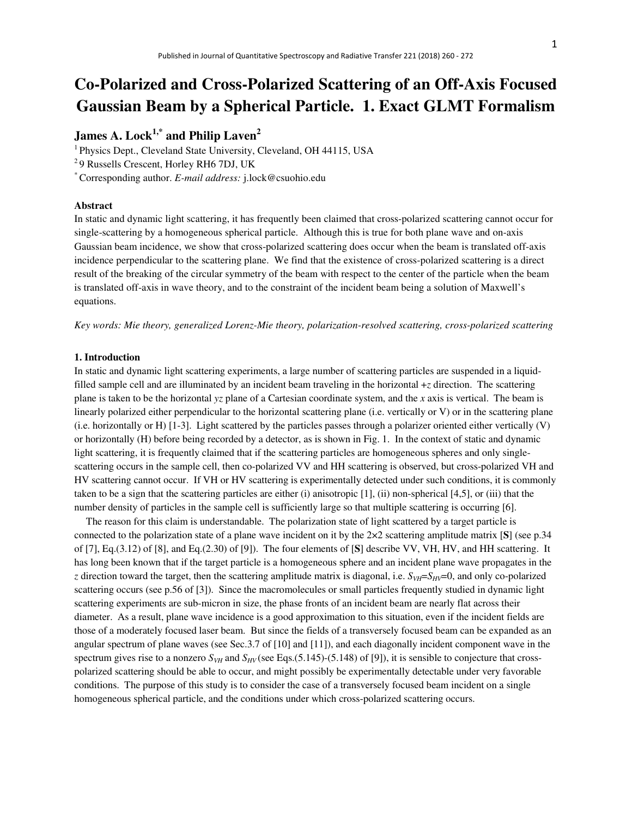# **Co-Polarized and Cross-Polarized Scattering of an Off-Axis Focused Gaussian Beam by a Spherical Particle. 1. Exact GLMT Formalism**

## **James A. Lock1,\* and Philip Laven<sup>2</sup>**

<sup>1</sup> Physics Dept., Cleveland State University, Cleveland, OH 44115, USA

<sup>2</sup>9 Russells Crescent, Horley RH6 7DJ, UK

\* Corresponding author. *E-mail address:* j.lock@csuohio.edu

## **Abstract**

In static and dynamic light scattering, it has frequently been claimed that cross-polarized scattering cannot occur for single-scattering by a homogeneous spherical particle. Although this is true for both plane wave and on-axis Gaussian beam incidence, we show that cross-polarized scattering does occur when the beam is translated off-axis incidence perpendicular to the scattering plane. We find that the existence of cross-polarized scattering is a direct result of the breaking of the circular symmetry of the beam with respect to the center of the particle when the beam is translated off-axis in wave theory, and to the constraint of the incident beam being a solution of Maxwell's equations.

*Key words: Mie theory, generalized Lorenz-Mie theory, polarization-resolved scattering, cross-polarized scattering* 

## **1. Introduction**

In static and dynamic light scattering experiments, a large number of scattering particles are suspended in a liquidfilled sample cell and are illuminated by an incident beam traveling in the horizontal +*z* direction. The scattering plane is taken to be the horizontal *yz* plane of a Cartesian coordinate system, and the *x* axis is vertical. The beam is linearly polarized either perpendicular to the horizontal scattering plane (i.e. vertically or V) or in the scattering plane (i.e. horizontally or H)  $[1-3]$ . Light scattered by the particles passes through a polarizer oriented either vertically  $(V)$ or horizontally (H) before being recorded by a detector, as is shown in Fig. 1. In the context of static and dynamic light scattering, it is frequently claimed that if the scattering particles are homogeneous spheres and only singlescattering occurs in the sample cell, then co-polarized VV and HH scattering is observed, but cross-polarized VH and HV scattering cannot occur. If VH or HV scattering is experimentally detected under such conditions, it is commonly taken to be a sign that the scattering particles are either (i) anisotropic  $[1]$ , (ii) non-spherical  $[4,5]$ , or (iii) that the number density of particles in the sample cell is sufficiently large so that multiple scattering is occurring [6].

The reason for this claim is understandable. The polarization state of light scattered by a target particle is connected to the polarization state of a plane wave incident on it by the 2×2 scattering amplitude matrix [**S**] (see p.34 of [7], Eq.(3.12) of [8], and Eq.(2.30) of [9]). The four elements of [**S**] describe VV, VH, HV, and HH scattering. It has long been known that if the target particle is a homogeneous sphere and an incident plane wave propagates in the *z* direction toward the target, then the scattering amplitude matrix is diagonal, i.e.  $S_{VH} = S_{HV} = 0$ , and only co-polarized scattering occurs (see p.56 of [3]). Since the macromolecules or small particles frequently studied in dynamic light scattering experiments are sub-micron in size, the phase fronts of an incident beam are nearly flat across their diameter. As a result, plane wave incidence is a good approximation to this situation, even if the incident fields are those of a moderately focused laser beam. But since the fields of a transversely focused beam can be expanded as an angular spectrum of plane waves (see Sec.3.7 of [10] and [11]), and each diagonally incident component wave in the spectrum gives rise to a nonzero  $S_{VH}$  and  $S_{HV}$  (see Eqs.(5.145)-(5.148) of [9]), it is sensible to conjecture that crosspolarized scattering should be able to occur, and might possibly be experimentally detectable under very favorable conditions. The purpose of this study is to consider the case of a transversely focused beam incident on a single homogeneous spherical particle, and the conditions under which cross-polarized scattering occurs.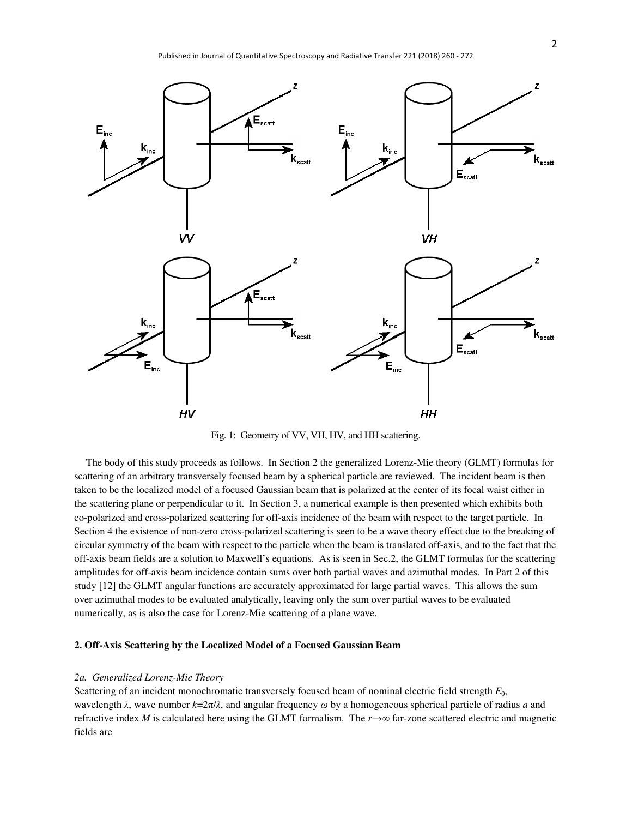

Fig. 1: Geometry of VV, VH, HV, and HH scattering.

The body of this study proceeds as follows. In Section 2 the generalized Lorenz-Mie theory (GLMT) formulas for scattering of an arbitrary transversely focused beam by a spherical particle are reviewed. The incident beam is then taken to be the localized model of a focused Gaussian beam that is polarized at the center of its focal waist either in the scattering plane or perpendicular to it. In Section 3, a numerical example is then presented which exhibits both co-polarized and cross-polarized scattering for off-axis incidence of the beam with respect to the target particle. In Section 4 the existence of non-zero cross-polarized scattering is seen to be a wave theory effect due to the breaking of circular symmetry of the beam with respect to the particle when the beam is translated off-axis, and to the fact that the off-axis beam fields are a solution to Maxwell's equations. As is seen in Sec.2, the GLMT formulas for the scattering amplitudes for off-axis beam incidence contain sums over both partial waves and azimuthal modes. In Part 2 of this study [12] the GLMT angular functions are accurately approximated for large partial waves. This allows the sum over azimuthal modes to be evaluated analytically, leaving only the sum over partial waves to be evaluated numerically, as is also the case for Lorenz-Mie scattering of a plane wave.

### **2. Off-Axis Scattering by the Localized Model of a Focused Gaussian Beam**

#### *2a. Generalized Lorenz-Mie Theory*

Scattering of an incident monochromatic transversely focused beam of nominal electric field strength *E*0, wavelength *λ*, wave number *k*=2π/*λ*, and angular frequency *ω* by a homogeneous spherical particle of radius *a* and refractive index *M* is calculated here using the GLMT formalism. The *r*→∞ far-zone scattered electric and magnetic fields are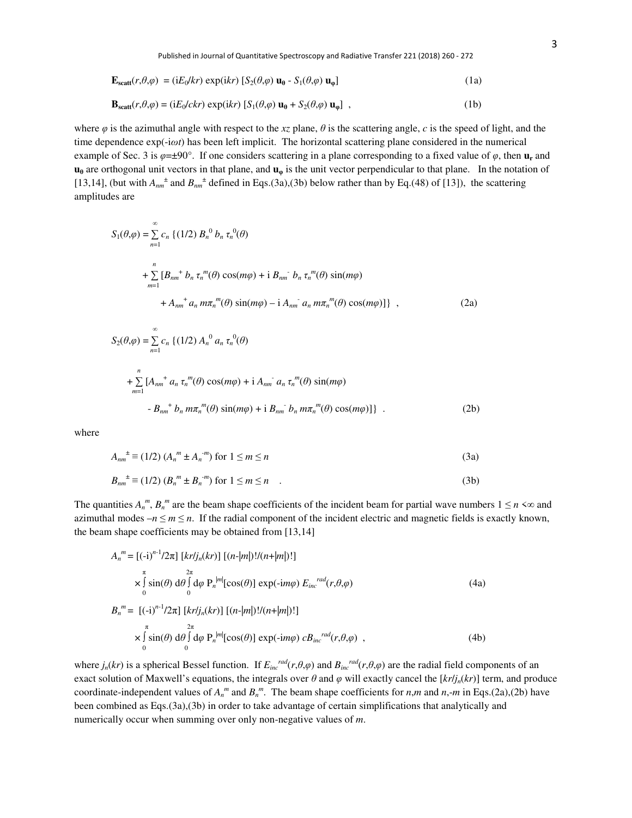$$
\mathbf{E}_{\text{scatt}}(r,\theta,\varphi) = (\mathrm{i}E_0/kr) \exp(\mathrm{i}kr) \left[ S_2(\theta,\varphi) \mathbf{u}_{\theta} - S_1(\theta,\varphi) \mathbf{u}_{\phi} \right]
$$
(1a)

$$
\mathbf{B}_{scatt}(r,\theta,\varphi) = (iE_0/ckr) \exp(ikr) \left[ S_1(\theta,\varphi) \mathbf{u}_0 + S_2(\theta,\varphi) \mathbf{u}_\varphi \right] ,
$$
 (1b)

where  $\varphi$  is the azimuthal angle with respect to the *xz* plane,  $\theta$  is the scattering angle, *c* is the speed of light, and the time dependence exp(-i*ωt*) has been left implicit. The horizontal scattering plane considered in the numerical example of Sec. 3 is  $\varphi = \pm 90^\circ$ . If one considers scattering in a plane corresponding to a fixed value of  $\varphi$ , then  $\mathbf{u}_r$  and **u**<sub>0</sub> are orthogonal unit vectors in that plane, and **u**<sub>0</sub> is the unit vector perpendicular to that plane. In the notation of [13,14], (but with  $A_{nm}^{\dagger}$  and  $B_{nm}^{\dagger}$  defined in Eqs.(3a),(3b) below rather than by Eq.(48) of [13]), the scattering amplitudes are

$$
S_1(\theta,\varphi) = \sum_{n=1}^{\infty} c_n \left\{ (1/2) B_n^0 b_n \tau_n^0(\theta) + \sum_{n=1}^n [B_{nm}^{\dagger} b_n \tau_n^m(\theta) \cos(m\varphi) + i B_{nm}^{\dagger} b_n \tau_n^m(\theta) \sin(m\varphi) + A_{nm}^{\dagger} a_n m \tau_n^m(\theta) \sin(m\varphi) - i A_{nm}^{\dagger} a_n m \tau_n^m(\theta) \cos(m\varphi) \right\},
$$
\n(2a)

$$
S_2(\theta,\varphi) = \sum_{n=1}^{\infty} c_n \left\{ (1/2) A_n^0 a_n \tau_n^0(\theta) + \sum_{m=1}^n [A_{nm}^{\dagger} a_n \tau_n^m(\theta) \cos(m\varphi) + i A_{nm}^{\dagger} a_n \tau_n^m(\theta) \sin(m\varphi) - B_{nm}^{\dagger} b_n m \tau_n^m(\theta) \sin(m\varphi) + i B_{nm}^{\dagger} b_n m \tau_n^m(\theta) \cos(m\varphi) \right\}.
$$
 (2b)

where

$$
A_{nm}^{\ \pm} \equiv (1/2) \ (A_n^{\ m} \pm A_n^{\ -m}) \ \text{for} \ 1 \le m \le n \tag{3a}
$$

$$
B_{nm}^{\ \pm} \equiv (1/2) \ (B_n^{\ m} \pm B_n^{\ -m}) \text{ for } 1 \le m \le n \tag{3b}
$$

The quantities  $A_n^m$ ,  $B_n^m$  are the beam shape coefficients of the incident beam for partial wave numbers  $1 \le n \le \infty$  and azimuthal modes  $-n \le m \le n$ . If the radial component of the incident electric and magnetic fields is exactly known, the beam shape coefficients may be obtained from [13,14]

$$
A_n^m = [(-i)^{n-1}/2\pi] [kr/j_n(kr)] [(n-|m|)!/(n+|m|)!]
$$
  
\n
$$
\times \int_{0}^{\pi} \sin(\theta) d\theta \int_{0}^{2\pi} d\varphi P_n^{|m|} [\cos(\theta)] \exp(-im\varphi) E_{inc}^{rad}(r,\theta,\varphi)
$$
  
\n
$$
B_n^m = [(-i)^{n-1}/2\pi] [kr/j_n(kr)] [(n-|m|)!/(n+|m|)!]
$$
  
\n
$$
\times \int_{0}^{\pi} \sin(\theta) d\theta \int_{0}^{2\pi} d\varphi P_n^{|m|} [\cos(\theta)] \exp(-im\varphi) c B_{inc}^{rad}(r,\theta,\varphi)
$$
  
\n(4b)

where  $j_n(kr)$  is a spherical Bessel function. If  $E_{inc}^{rad}(r,\theta,\varphi)$  and  $B_{inc}^{rad}(r,\theta,\varphi)$  are the radial field components of an exact solution of Maxwell's equations, the integrals over  $\theta$  and  $\varphi$  will exactly cancel the  $\frac{[k r / j_n(kr)]}{[k r / j_n(kr)]}$  term, and produce coordinate-independent values of  $A_n^m$  and  $B_n^m$ . The beam shape coefficients for *n*,*m* and *n*,-*m* in Eqs.(2a),(2b) have been combined as Eqs.(3a),(3b) in order to take advantage of certain simplifications that analytically and numerically occur when summing over only non-negative values of *m*.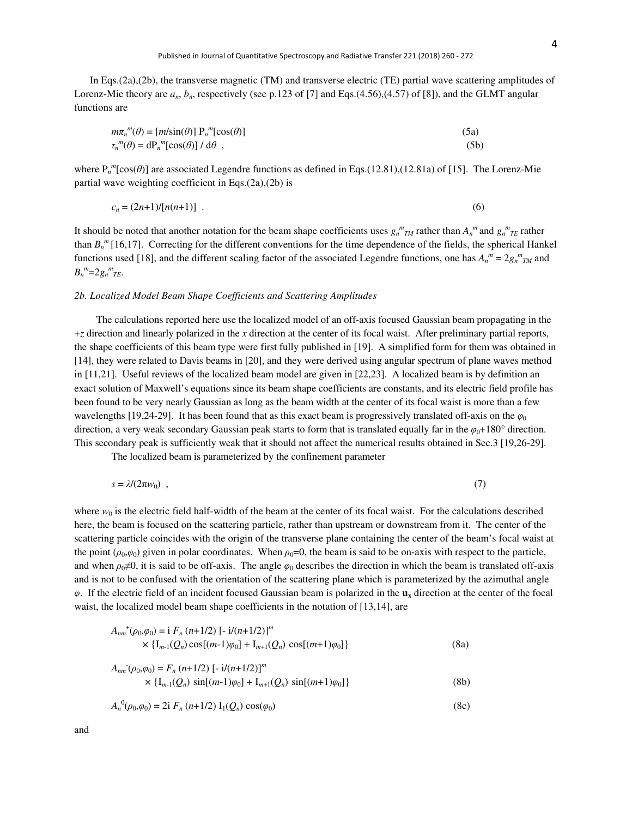In Eqs.(2a),(2b), the transverse magnetic (TM) and transverse electric (TE) partial wave scattering amplitudes of Lorenz-Mie theory are  $a_n$ ,  $b_n$ , respectively (see p.123 of [7] and Eqs.(4.56),(4.57) of [8]), and the GLMT angular functions are

$$
m\pi_n^m(\theta) = [m/\sin(\theta)] P_n^m[\cos(\theta)]
$$
\n(5a)  
\n
$$
\tau_n^m(\theta) = dP_n^m[\cos(\theta)] / d\theta,
$$
\n(5b)

where  $P_n^m$ [cos( $\theta$ )] are associated Legendre functions as defined in Eqs.(12.81),(12.81a) of [15]. The Lorenz-Mie partial wave weighting coefficient in Eqs.(2a),(2b) is

$$
c_n = (2n+1)/[n(n+1)] \tag{6}
$$

It should be noted that another notation for the beam shape coefficients uses  $g_n^m_{TM}$  rather than  $A_n^m$  and  $g_n^m_{TE}$  rather than  $B_n^m$  [16,17]. Correcting for the different conventions for the time dependence of the fields, the spherical Hankel functions used [18], and the different scaling factor of the associated Legendre functions, one has  $A_n^m = 2g_n^m$  and  $B_n^m = 2g_n^m$ <sub>*TE*</sub>.

## *2b. Localized Model Beam Shape Coefficients and Scattering Amplitudes*

 The calculations reported here use the localized model of an off-axis focused Gaussian beam propagating in the +*z* direction and linearly polarized in the *x* direction at the center of its focal waist. After preliminary partial reports, the shape coefficients of this beam type were first fully published in [19]. A simplified form for them was obtained in [14], they were related to Davis beams in [20], and they were derived using angular spectrum of plane waves method in [11,21]. Useful reviews of the localized beam model are given in [22,23]. A localized beam is by definition an exact solution of Maxwell's equations since its beam shape coefficients are constants, and its electric field profile has been found to be very nearly Gaussian as long as the beam width at the center of its focal waist is more than a few wavelengths [19,24-29]. It has been found that as this exact beam is progressively translated of f-axis on the  $\varphi_0$ direction, a very weak secondary Gaussian peak starts to form that is translated equally far in the  $\varphi_0+180^\circ$  direction. This secondary peak is sufficiently weak that it should not affect the numerical results obtained in Sec.3 [19,26-29].

The localized beam is parameterized by the confinement parameter

$$
s = \lambda/(2\pi w_0) \quad , \tag{7}
$$

where  $w_0$  is the electric field half-width of the beam at the center of its focal waist. For the calculations described here, the beam is focused on the scattering particle, rather than upstream or downstream from it. The center of the scattering particle coincides with the origin of the transverse plane containing the center of the beam's focal waist at the point  $(\rho_0, \varphi_0)$  given in polar coordinates. When  $\rho_0=0$ , the beam is said to be on-axis with respect to the particle, and when  $\rho_0 \neq 0$ , it is said to be off-axis. The angle  $\varphi_0$  describes the direction in which the beam is translated off-axis and is not to be confused with the orientation of the scattering plane which is parameterized by the azimuthal angle *φ*. If the electric field of an incident focused Gaussian beam is polarized in the **ux** direction at the center of the focal waist, the localized model beam shape coefficients in the notation of [13,14], are

$$
A_{nm}^+(\rho_0, \varphi_0) = \mathrm{i} \ F_n \ (n+1/2) \ [-\mathrm{i}((n+1/2)]^m
$$
  
 
$$
\times \ \{I_{m-1}(Q_n)\cos[(m-1)\varphi_0] + I_{m+1}(Q_n)\cos[(m+1)\varphi_0]\}
$$
 (8a)

$$
A_{nm}(\rho_0, \varphi_0) = F_n (n+1/2) \left[ -i/(n+1/2) \right]^m
$$
  
 
$$
\times \left\{ I_{m-1}(Q_n) \sin[(m-1)\varphi_0] + I_{m+1}(Q_n) \sin[(m+1)\varphi_0] \right\}
$$
 (8b)

$$
A_n^0(\rho_0, \varphi_0) = 2i \ F_n \ (n+1/2) \ I_1(Q_n) \ \cos(\varphi_0) \tag{8c}
$$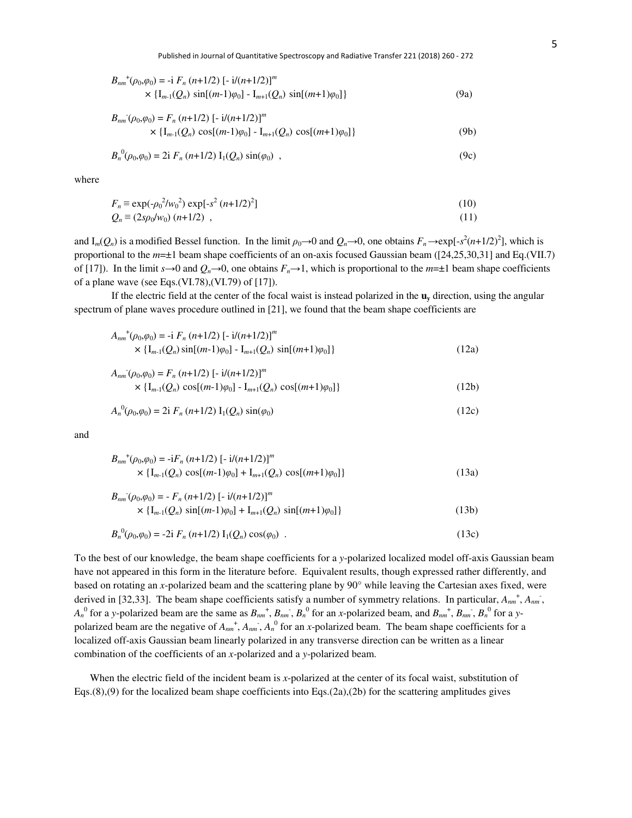$$
B_{nm}^{+}(p_0, \varphi_0) = -\mathbf{i} F_n (n+1/2) [-\mathbf{i}/(n+1/2)]^m
$$
  
 
$$
\times \{I_{m-1}(Q_n) \sin[(m-1)\varphi_0] - I_{m+1}(Q_n) \sin[(m+1)\varphi_0] \}
$$
 (9a)

$$
B_{nm}(\rho_0, \varphi_0) = F_n (n+1/2) [-i/(n+1/2)]^m
$$
  
 
$$
\times \{I_{m-1}(Q_n) \cos[(m-1)\varphi_0] - I_{m+1}(Q_n) \cos[(m+1)\varphi_0] \}
$$
 (9b)

$$
B_n^0(\rho_0, \varphi_0) = 2i \ F_n \ (n+1/2) \ I_1(Q_n) \ \sin(\varphi_0) \ , \tag{9c}
$$

where

$$
F_n \equiv \exp(-\rho_0^2/w_0^2) \exp[-s^2 (n+1/2)^2]
$$
 (10)

$$
Q_n \equiv (2s\rho_0/w_0) (n+1/2) , \qquad (11)
$$

and  $I_m(Q_n)$  is a modified Bessel function. In the limit  $\rho_0 \to 0$  and  $Q_n \to 0$ , one obtains  $F_n \to \exp[-s^2(n+1/2)^2]$ , which is proportional to the *m*=±1 beam shape coefficients of an on-axis focused Gaussian beam ([24,25,30,31] and Eq.(VII.7) of [17]). In the limit  $s \to 0$  and  $Q_n \to 0$ , one obtains  $F_n \to 1$ , which is proportional to the  $m=\pm 1$  beam shape coefficients of a plane wave (see Eqs.(VI.78),(VI.79) of [17]).

If the electric field at the center of the focal waist is instead polarized in the **uy** direction, using the angular spectrum of plane waves procedure outlined in [21], we found that the beam shape coefficients are

$$
A_{nm}^+(\rho_0, \varphi_0) = -\mathbf{i} F_n (n+1/2) \left[ -\mathbf{i}/(n+1/2) \right]^m
$$
  
 
$$
\times \left\{ I_{m-1}(Q_n) \sin[(m-1)\varphi_0] - I_{m+1}(Q_n) \sin[(m+1)\varphi_0] \right\}
$$
 (12a)

$$
A_{nm}(\rho_0, \varphi_0) = F_n (n+1/2) \left[ -i/(n+1/2) \right]^m
$$
  
 
$$
\times \left\{ I_{m-1}(Q_n) \cos[(m-1)\varphi_0] - I_{m+1}(Q_n) \cos[(m+1)\varphi_0] \right\}
$$
 (12b)

$$
A_n^0(\rho_0, \varphi_0) = 2i \ F_n \ (n+1/2) \ I_1(Q_n) \ \sin(\varphi_0) \tag{12c}
$$

and

$$
B_{nm}^{+}(p_0, \varphi_0) = -iF_n (n+1/2) [-i/(n+1/2)]^m
$$
  
 
$$
\times \{I_{m-1}(Q_n) \cos[(m-1)\varphi_0] + I_{m+1}(Q_n) \cos[(m+1)\varphi_0] \}
$$
 (13a)

$$
B_{nm}(\rho_0, \varphi_0) = -F_n (n+1/2) \left[ -i/(n+1/2) \right]^m
$$
  
 
$$
\times \left\{ I_{m-1}(Q_n) \sin[(m-1)\varphi_0] + I_{m+1}(Q_n) \sin[(m+1)\varphi_0] \right\}
$$
 (13b)  
 
$$
B_{n-1}^{(0)}(Q_n, Q_n) = 2i F_n (n+1/2) I_n(Q_n) \cos((2n))
$$
 (13c)

(*ρ*0,*φ*0) = - *Fn* (*n*+1/2) [- i/(*n*+1/2)]*<sup>m</sup>*

$$
B_n^0(\rho_0, \varphi_0) = -2i \ F_n (n+1/2) \ I_1(Q_n) \cos(\varphi_0) \ . \tag{13c}
$$

To the best of our knowledge, the beam shape coefficients for a *y*-polarized localized model off-axis Gaussian beam have not appeared in this form in the literature before. Equivalent results, though expressed rather differently, and based on rotating an *x*-polarized beam and the scattering plane by 90° while leaving the Cartesian axes fixed, were derived in [32,33]. The beam shape coefficients satisfy a number of symmetry relations. In particular,  $A_{nm}^+$ ,  $A_{nm}^-$ ,  $A_n^0$  for a y-polarized beam are the same as  $B_{nm}^+$ ,  $B_{nm}$ ,  $B_n^0$  for an x-polarized beam, and  $B_{nm}^+$ ,  $B_{nm}$ ,  $B_n^0$  for a ypolarized beam are the negative of  $A_{nm}^+$ ,  $A_{nm}^-$ ,  $A_n^0$  for an *x*-polarized beam. The beam shape coefficients for a localized off-axis Gaussian beam linearly polarized in any transverse direction can be written as a linear combination of the coefficients of an *x*-polarized and a *y*-polarized beam.

 When the electric field of the incident beam is *x*-polarized at the center of its focal waist, substitution of Eqs.(8),(9) for the localized beam shape coefficients into Eqs.(2a),(2b) for the scattering amplitudes gives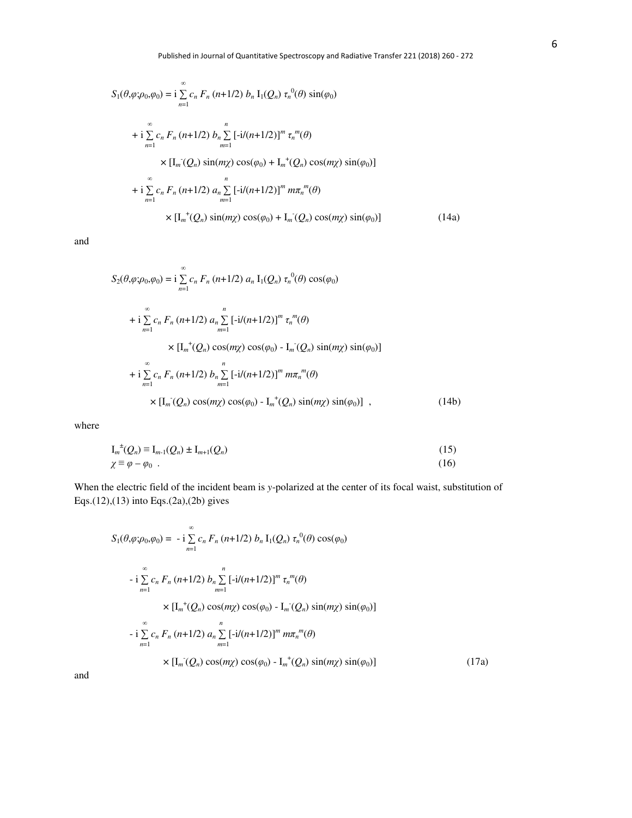$$
S_1(\theta, \varphi; \rho_0, \varphi_0) = i \sum_{n=1}^{\infty} c_n F_n (n+1/2) b_n I_1(Q_n) \tau_n^{0}(\theta) \sin(\varphi_0)
$$
  
+ 
$$
i \sum_{n=1}^{\infty} c_n F_n (n+1/2) b_n \sum_{m=1}^n [ -i/(n+1/2) ]^m \tau_n^{m}(\theta)
$$
  

$$
\times [I_m(Q_n) \sin(m\chi) \cos(\varphi_0) + I_m^+(Q_n) \cos(m\chi) \sin(\varphi_0)]
$$
  
+ 
$$
i \sum_{n=1}^{\infty} c_n F_n (n+1/2) a_n \sum_{m=1}^n [ -i/(n+1/2) ]^m m \pi_n^{m}(\theta)
$$
  

$$
\times [I_m^+(Q_n) \sin(m\chi) \cos(\varphi_0) + I_m^-(Q_n) \cos(m\chi) \sin(\varphi_0)] \qquad (14a)
$$

and

$$
S_{2}(\theta, \varphi; \rho_{0}, \varphi_{0}) = i \sum_{n=1}^{\infty} c_{n} F_{n} (n+1/2) a_{n} I_{1}(Q_{n}) \tau_{n}^{0}(\theta) \cos(\varphi_{0})
$$
  
+  $i \sum_{n=1}^{\infty} c_{n} F_{n} (n+1/2) a_{n} \sum_{m=1}^{n} [-i/(n+1/2)]^{m} \tau_{n}^{m}(\theta)$   
 $\times [I_{m}^{+}(Q_{n}) \cos(m\chi) \cos(\varphi_{0}) - I_{m}(Q_{n}) \sin(m\chi) \sin(\varphi_{0})]$   
+  $i \sum_{n=1}^{\infty} c_{n} F_{n} (n+1/2) b_{n} \sum_{m=1}^{n} [-i/(n+1/2)]^{m} m \pi_{n}^{m}(\theta)$   
 $\times [I_{m}^{-}(Q_{n}) \cos(m\chi) \cos(\varphi_{0}) - I_{m}^{+}(Q_{n}) \sin(m\chi) \sin(\varphi_{0})]$ , (14b)

where

$$
I_m^{\pm}(Q_n) \equiv I_{m-1}(Q_n) \pm I_{m+1}(Q_n)
$$
\n
$$
\chi \equiv \varphi - \varphi_0 \quad . \tag{15}
$$

When the electric field of the incident beam is *y*-polarized at the center of its focal waist, substitution of Eqs.(12),(13) into Eqs.(2a),(2b) gives

$$
S_1(\theta, \varphi; \rho_0, \varphi_0) = -i \sum_{n=1}^{\infty} c_n F_n (n+1/2) b_n I_1(Q_n) \tau_n^{0}(\theta) \cos(\varphi_0)
$$
  

$$
-i \sum_{n=1}^{\infty} c_n F_n (n+1/2) b_n \sum_{m=1}^n [-i/(n+1/2)]^m \tau_n^{m}(\theta)
$$
  

$$
\times [I_m^+(\mathcal{Q}_n) \cos(m\chi) \cos(\varphi_0) - I_m(Q_n) \sin(m\chi) \sin(\varphi_0)]
$$
  

$$
-i \sum_{n=1}^{\infty} c_n F_n (n+1/2) a_n \sum_{m=1}^n [-i/(n+1/2)]^m m \pi_n^{m}(\theta)
$$
  

$$
\times [I_m^-(\mathcal{Q}_n) \cos(m\chi) \cos(\varphi_0) - I_m^+(\mathcal{Q}_n) \sin(m\chi) \sin(\varphi_0)] \qquad (17a)
$$

and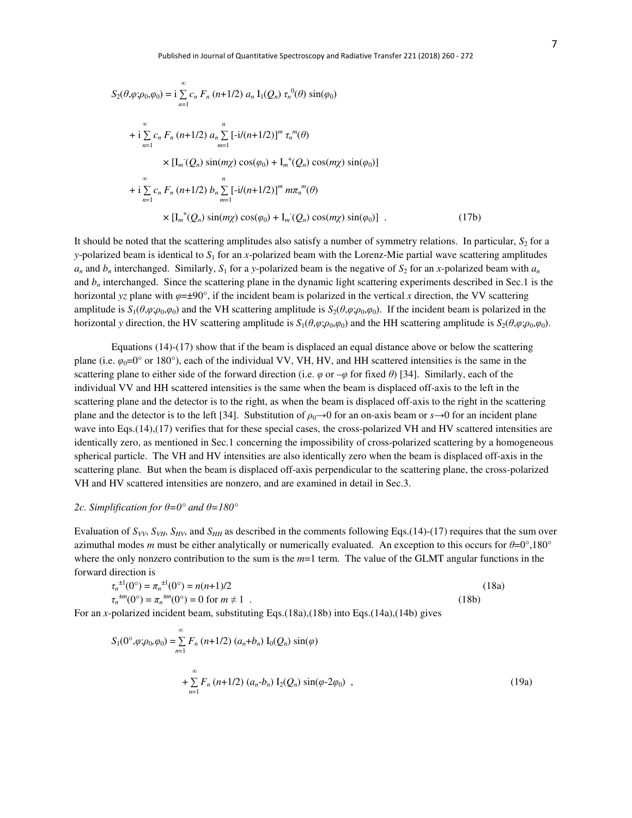$$
S_2(\theta, \varphi; \rho_0, \varphi_0) = i \sum_{n=1}^{\infty} c_n F_n (n+1/2) a_n I_1(Q_n) \tau_n^{0}(\theta) \sin(\varphi_0)
$$
  
+  $i \sum_{n=1}^{\infty} c_n F_n (n+1/2) a_n \sum_{m=1}^n [-i/(n+1/2)]^m \tau_n^{m}(\theta)$   
 $\times [I_m(Q_n) \sin(m\chi) \cos(\varphi_0) + I_m^{+}(Q_n) \cos(m\chi) \sin(\varphi_0)]$   
+  $i \sum_{n=1}^{\infty} c_n F_n (n+1/2) b_n \sum_{m=1}^n [-i/(n+1/2)]^m m \pi_n^{m}(\theta)$   
 $\times [I_m^{+}(Q_n) \sin(m\chi) \cos(\varphi_0) + I_m^{-}(Q_n) \cos(m\chi) \sin(\varphi_0)]$ . (17b)

It should be noted that the scattering amplitudes also satisfy a number of symmetry relations. In particular, *S*2 for a *y*-polarized beam is identical to  $S_1$  for an *x*-polarized beam with the Lorenz-Mie partial wave scattering amplitudes  $a_n$  and  $b_n$  interchanged. Similarly,  $S_1$  for a *y*-polarized beam is the negative of  $S_2$  for an *x*-polarized beam with  $a_n$ and  $b<sub>n</sub>$  interchanged. Since the scattering plane in the dynamic light scattering experiments described in Sec.1 is the horizontal *yz* plane with  $\varphi = \pm 90^\circ$ , if the incident beam is polarized in the vertical *x* direction, the VV scattering amplitude is  $S_1(\theta, \varphi; \rho_0, \varphi_0)$  and the VH scattering amplitude is  $S_2(\theta, \varphi; \rho_0, \varphi_0)$ . If the incident beam is polarized in the horizontal *y* direction, the HV scattering amplitude is  $S_1(\theta, \varphi; \rho_0, \varphi_0)$  and the HH scattering amplitude is  $S_2(\theta, \varphi; \rho_0, \varphi_0)$ .

Equations (14)-(17) show that if the beam is displaced an equal distance above or below the scattering plane (i.e.  $\varphi_0=0^\circ$  or 180°), each of the individual VV, VH, HV, and HH scattered intensities is the same in the scattering plane to either side of the forward direction (i.e.  $\varphi$  or  $-\varphi$  for fixed  $\theta$ ) [34]. Similarly, each of the individual VV and HH scattered intensities is the same when the beam is displaced off-axis to the left in the scattering plane and the detector is to the right, as when the beam is displaced off-axis to the right in the scattering plane and the detector is to the left [34]. Substitution of  $\rho_0 \rightarrow 0$  for an on-axis beam or  $s \rightarrow 0$  for an incident plane wave into Eqs.(14),(17) verifies that for these special cases, the cross-polarized VH and HV scattered intensities are identically zero, as mentioned in Sec.1 concerning the impossibility of cross-polarized scattering by a homogeneous spherical particle. The VH and HV intensities are also identically zero when the beam is displaced off-axis in the scattering plane. But when the beam is displaced off-axis perpendicular to the scattering plane, the cross-polarized VH and HV scattered intensities are nonzero, and are examined in detail in Sec.3.

#### 2c. Simplification for  $θ=0°$  and  $θ=180°$

Evaluation of  $S_{VV}$ ,  $S_{VH}$ ,  $S_{HV}$ , and  $S_{HH}$  as described in the comments following Eqs.(14)-(17) requires that the sum over azimuthal modes *m* must be either analytically or numerically evaluated. An exception to this occurs for *θ*=0°,180° where the only nonzero contribution to the sum is the  $m=1$  term. The value of the GLMT angular functions in the forward direction is

$$
\tau_n^{\pm 1}(0^\circ) = \pi_n^{\pm 1}(0^\circ) = n(n+1)/2
$$
\n
$$
\tau_n^{\pm m}(0^\circ) = \pi_n^{\pm m}(0^\circ) = 0 \text{ for } m \neq 1
$$
\n(18a)\n(18b)

For an *x*-polarized incident beam, substituting Eqs.(18a),(18b) into Eqs.(14a),(14b) gives

$$
S_1(0^\circ, \varphi; \rho_0, \varphi_0) = \sum_{n=1}^{\infty} F_n (n+1/2) (a_n + b_n) I_0(Q_n) \sin(\varphi)
$$
  
+ 
$$
\sum_{n=1}^{\infty} F_n (n+1/2) (a_n - b_n) I_2(Q_n) \sin(\varphi - 2\varphi_0) ,
$$
 (19a)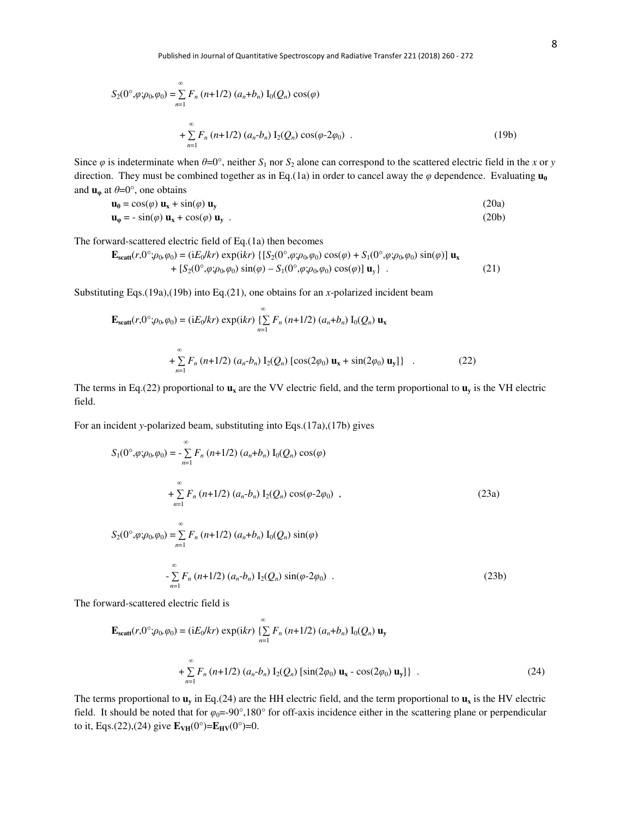$$
S_2(0^\circ, \varphi; \rho_0, \varphi_0) = \sum_{n=1}^{\infty} F_n (n+1/2) (a_n + b_n) I_0(Q_n) \cos(\varphi)
$$
  
+ 
$$
\sum_{n=1}^{\infty} F_n (n+1/2) (a_n - b_n) I_2(Q_n) \cos(\varphi \cdot 2\varphi_0) .
$$
 (19b)

Since  $\varphi$  is indeterminate when  $\theta = 0^\circ$ , neither  $S_1$  nor  $S_2$  alone can correspond to the scattered electric field in the *x* or *y* direction. They must be combined together as in Eq.(1a) in order to cancel away the  $\varphi$  dependence. Evaluating  $\mathbf{u}_{\theta}$ and  $\mathbf{u}_{\varphi}$  at  $\theta = 0^{\circ}$ , one obtains

$$
\mathbf{u}_{\theta} = \cos(\varphi) \mathbf{u}_{\mathbf{x}} + \sin(\varphi) \mathbf{u}_{\mathbf{y}} \tag{20a}
$$
  

$$
\mathbf{u}_{\phi} = -\sin(\varphi) \mathbf{u}_{\mathbf{x}} + \cos(\varphi) \mathbf{u}_{\mathbf{y}} \tag{20b}
$$

The forward-scattered electric field of Eq.(1a) then becomes

$$
\mathbf{E}_{scatt}(r,0^{\circ};\rho_{0},\varphi_{0}) = (iE_{0}/kr) \exp(ikr) \{ [S_{2}(0^{\circ},\varphi;\rho_{0},\varphi_{0}) \cos(\varphi) + S_{1}(0^{\circ},\varphi;\rho_{0},\varphi_{0}) \sin(\varphi)] \mathbf{u}_{x} + [S_{2}(0^{\circ},\varphi;\rho_{0},\varphi_{0}) \sin(\varphi) - S_{1}(0^{\circ},\varphi;\rho_{0},\varphi_{0}) \cos(\varphi)] \mathbf{u}_{y} \} .
$$
 (21)

Substituting Eqs.(19a),(19b) into Eq.(21), one obtains for an *x*-polarized incident beam

$$
\mathbf{E}_{\text{scatt}}(r,0^{\circ};\rho_{0},\varphi_{0}) = (\mathrm{i}E_{0}/kr) \exp(\mathrm{i}kr) \left\{ \sum_{n=1}^{\infty} F_{n} (n+1/2) (a_{n}+b_{n}) \, I_{0}(Q_{n}) \, \mathbf{u}_{x} + \sum_{n=1}^{\infty} F_{n} (n+1/2) (a_{n}-b_{n}) \, I_{2}(Q_{n}) \left[ \cos(2\varphi_{0}) \, \mathbf{u}_{x} + \sin(2\varphi_{0}) \, \mathbf{u}_{y} \right] \right\} \quad . \tag{22}
$$

The terms in Eq.(22) proportional to  $\mathbf{u}_x$  are the VV electric field, and the term proportional to  $\mathbf{u}_y$  is the VH electric field.

For an incident *y*-polarized beam, substituting into Eqs.(17a),(17b) gives

$$
S_1(0^\circ, \varphi; \rho_0, \varphi_0) = -\sum_{n=1}^{\infty} F_n (n+1/2) (a_n + b_n) I_0(Q_n) \cos(\varphi)
$$
  
+
$$
\sum_{n=1}^{\infty} F_n (n+1/2) (a_n - b_n) I_2(Q_n) \cos(\varphi - 2\varphi_0) ,
$$
  

$$
\infty
$$
 (23a)

$$
S_2(0^\circ, \varphi; \rho_0, \varphi_0) = \sum_{n=1}^{\infty} F_n (n+1/2) (a_n + b_n) I_0(Q_n) \sin(\varphi)
$$
  
- 
$$
\sum_{n=1}^{\infty} F_n (n+1/2) (a_n - b_n) I_2(Q_n) \sin(\varphi - 2\varphi_0) .
$$
 (23b)

The forward-scattered electric field is

$$
\mathbf{E}_{\text{scatt}}(r,0^{\circ};\rho_{0},\varphi_{0}) = (\text{i}E_{0}/kr) \exp(\text{i}kr) \left\{ \sum_{n=1}^{\infty} F_{n} (n+1/2) (a_{n}+b_{n}) \, I_{0}(Q_{n}) \, \mathbf{u}_{y} \right. \\
\left. + \sum_{n=1}^{\infty} F_{n} (n+1/2) (a_{n}-b_{n}) \, I_{2}(Q_{n}) \left[ \sin(2\varphi_{0}) \, \mathbf{u}_{x} - \cos(2\varphi_{0}) \, \mathbf{u}_{y} \right] \right\} \ . \tag{24}
$$

The terms proportional to  $\mathbf{u}_\mathbf{v}$  in Eq.(24) are the HH electric field, and the term proportional to  $\mathbf{u}_\mathbf{x}$  is the HV electric field. It should be noted that for  $\varphi_0$ =-90°,180° for off-axis incidence either in the scattering plane or perpendicular to it, Eqs.(22),(24) give  $E_{VH}(0^{\circ})=E_{HV}(0^{\circ})=0$ .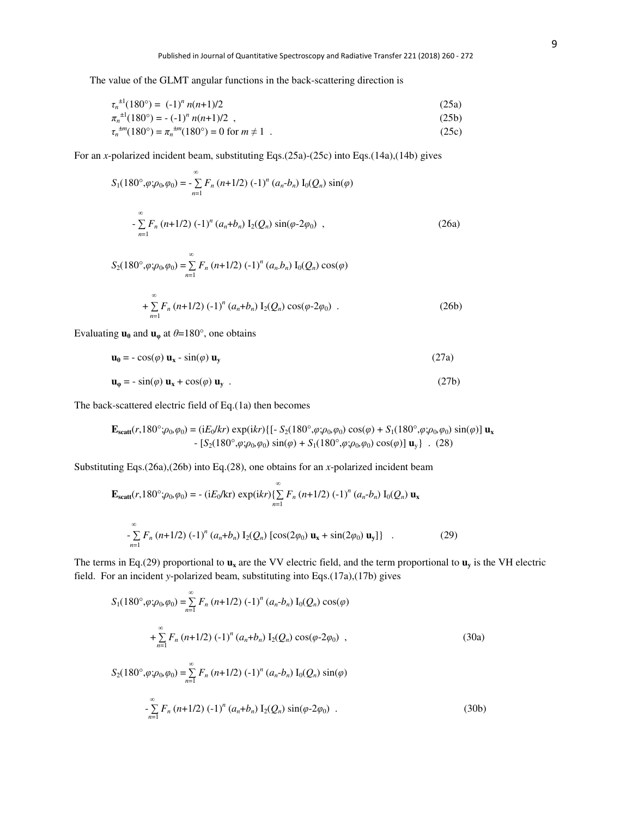The value of the GLMT angular functions in the back-scattering direction is

$$
\tau_n^{\pm 1}(180^\circ) = (-1)^n n(n+1)/2
$$
\n(25a)\n
$$
\pi_n^{\pm 1}(180^\circ) = -(-1)^n n(n+1)/2,
$$
\n(25b)\n
$$
\tau_n^{\pm m}(180^\circ) = \pi_n^{\pm m}(180^\circ) = 0 \text{ for } m \neq 1.
$$
\n(25c)

For an *x*-polarized incident beam, substituting Eqs.(25a)-(25c) into Eqs.(14a),(14b) gives

$$
S_1(180^\circ, \varphi; \rho_0, \varphi_0) = -\sum_{n=1}^{\infty} F_n (n+1/2) (-1)^n (a_n - b_n) I_0(Q_n) \sin(\varphi)
$$
  

$$
- \sum_{n=1}^{\infty} F_n (n+1/2) (-1)^n (a_n + b_n) I_2(Q_n) \sin(\varphi - 2\varphi_0) ,
$$
 (26a)

$$
S_2(180^\circ, \varphi; \rho_0, \varphi_0) = \sum_{n=1}^{\infty} F_n (n+1/2) (-1)^n (a_n b_n) I_0(Q_n) \cos(\varphi)
$$
  
+ 
$$
\sum_{n=1}^{\infty} F_n (n+1/2) (-1)^n (a_n + b_n) I_2(Q_n) \cos(\varphi \cdot 2\varphi_0) .
$$
 (26b)

Evaluating  $\mathbf{u}_\theta$  and  $\mathbf{u}_\phi$  at  $\theta = 180^\circ$ , one obtains

$$
\mathbf{u}_{\theta} = -\cos(\varphi) \mathbf{u}_{\mathbf{x}} - \sin(\varphi) \mathbf{u}_{\mathbf{y}} \tag{27a}
$$

$$
\mathbf{u}_{\varphi} = -\sin(\varphi) \mathbf{u}_{\mathbf{x}} + \cos(\varphi) \mathbf{u}_{\mathbf{y}} \tag{27b}
$$

The back-scattered electric field of Eq.(1a) then becomes

$$
\mathbf{E}_{scatt}(r,180^\circ;\rho_0,\varphi_0) = (iE_0/kr) \exp(ikr) \{[-S_2(180^\circ,\varphi;\rho_0,\varphi_0)\cos(\varphi) + S_1(180^\circ,\varphi;\rho_0,\varphi_0)\sin(\varphi)]\mathbf{u}_x - [S_2(180^\circ,\varphi;\rho_0,\varphi_0)\sin(\varphi) + S_1(180^\circ,\varphi;\rho_0,\varphi_0)\cos(\varphi)]\mathbf{u}_y\}. (28)
$$

Substituting Eqs.(26a),(26b) into Eq.(28), one obtains for an *x*-polarized incident beam

$$
\mathbf{E}_{\text{scatt}}(r,180^\circ;\rho_0,\rho_0) = -\left(iE_0/\text{kr}\right)\exp(ikr)\left\{\sum_{n=1}^\infty F_n\left(n+1/2\right)\left(-1\right)^n\left(a_n-b_n\right)I_0(Q_n)\mathbf{u}_x\right\}
$$

$$
-\sum_{n=1}^\infty F_n\left(n+1/2\right)\left(-1\right)^n\left(a_n+b_n\right)I_2(Q_n)\left[\cos(2\varphi_0)\mathbf{u}_x+\sin(2\varphi_0)\mathbf{u}_y\right]\} \quad . \tag{29}
$$

The terms in Eq.(29) proportional to  $\mathbf{u}_x$  are the VV electric field, and the term proportional to  $\mathbf{u}_y$  is the VH electric field. For an incident *y*-polarized beam, substituting into Eqs.(17a),(17b) gives

$$
S_1(180^\circ, \varphi; \rho_0, \varphi_0) = \sum_{n=1}^{\infty} F_n (n+1/2) (-1)^n (a_n - b_n) I_0(Q_n) \cos(\varphi)
$$
  
+ 
$$
\sum_{n=1}^{\infty} F_n (n+1/2) (-1)^n (a_n + b_n) I_2(Q_n) \cos(\varphi - 2\varphi_0) ,
$$
  

$$
S_2(180^\circ, \varphi; \rho_0, \varphi_0) = \sum_{n=1}^{\infty} F_n (n+1/2) (-1)^n (a_n - b_n) I_0(Q_n) \sin(\varphi)
$$
 (30a)

$$
-\sum_{n=1}^{\infty} F_n (n+1/2) (-1)^n (a_n + b_n) I_2(Q_n) \sin(\varphi \cdot 2\varphi_0) .
$$
 (30b)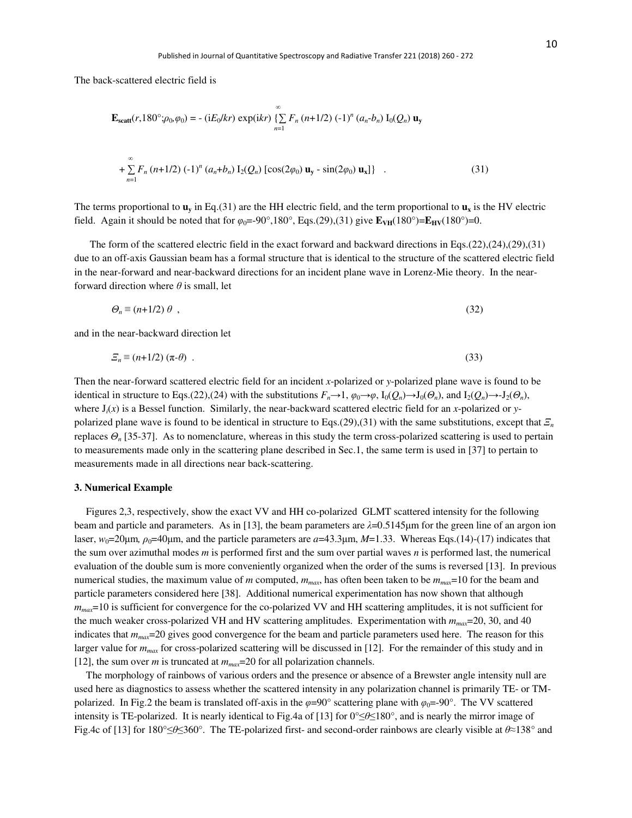The back-scattered electric field is

$$
\mathbf{E}_{\text{scatt}}(r,180^\circ;\rho_0,\rho_0) = -\left(\mathrm{i}E_0/kr\right)\exp(\mathrm{i}kr)\left\{\sum_{n=1}^\infty F_n\left(n+1/2\right)\left(-1\right)^n\left(a_n-b_n\right)\mathbf{I}_0(Q_n)\mathbf{u}_y\right.\\
\left. + \sum_{n=1}^\infty F_n\left(n+1/2\right)\left(-1\right)^n\left(a_n+b_n\right)\mathbf{I}_2(Q_n)\left[\cos(2\varphi_0)\mathbf{u}_y - \sin(2\varphi_0)\mathbf{u}_x\right]\right\}\quad.\tag{31}
$$

The terms proportional to  $\mathbf{u}_\mathbf{v}$  in Eq.(31) are the HH electric field, and the term proportional to  $\mathbf{u}_\mathbf{x}$  is the HV electric field. Again it should be noted that for  $\varphi_0 = -90^\circ, 180^\circ$ , Eqs.(29),(31) give  $\mathbf{E}_{\text{VH}}(180^\circ) = \mathbf{E}_{\text{HV}}(180^\circ) = 0$ .

 The form of the scattered electric field in the exact forward and backward directions in Eqs.(22),(24),(29),(31) due to an off-axis Gaussian beam has a formal structure that is identical to the structure of the scattered electric field in the near-forward and near-backward directions for an incident plane wave in Lorenz-Mie theory. In the nearforward direction where *θ* is small, let

$$
\Theta_n \equiv (n+1/2) \theta \tag{32}
$$

and in the near-backward direction let

$$
\Xi_n \equiv (n+1/2) \; (\pi - \theta) \quad . \tag{33}
$$

Then the near-forward scattered electric field for an incident *x*-polarized or *y*-polarized plane wave is found to be identical in structure to Eqs.(22),(24) with the substitutions  $F_n \to 1$ ,  $\varphi_0 \to \varphi$ ,  $I_0(Q_n) \to J_0(\varTheta_n)$ , and  $I_2(Q_n) \to J_2(\varTheta_n)$ , where  $J_i(x)$  is a Bessel function. Similarly, the near-backward scattered electric field for an *x*-polarized or *y*polarized plane wave is found to be identical in structure to Eqs.(29),(31) with the same substitutions, except that *Ξ<sup>n</sup>* replaces *Θn* [35-37]. As to nomenclature, whereas in this study the term cross-polarized scattering is used to pertain to measurements made only in the scattering plane described in Sec.1, the same term is used in [37] to pertain to measurements made in all directions near back-scattering.

#### **3. Numerical Example**

Figures 2,3, respectively, show the exact VV and HH co-polarized GLMT scattered intensity for the following beam and particle and parameters. As in [13], the beam parameters are  $\lambda$ =0.5145 $\mu$ m for the green line of an argon ion laser,  $w_0=20\mu$ m,  $\rho_0=40\mu$ m, and the particle parameters are  $a=43.3\mu$ m,  $M=1.33$ . Whereas Eqs.(14)-(17) indicates that the sum over azimuthal modes *m* is performed first and the sum over partial waves *n* is performed last, the numerical evaluation of the double sum is more conveniently organized when the order of the sums is reversed [13]. In previous numerical studies, the maximum value of *m* computed, *mmax*, has often been taken to be *mmax*=10 for the beam and particle parameters considered here [38]. Additional numerical experimentation has now shown that although *mmax*=10 is sufficient for convergence for the co-polarized VV and HH scattering amplitudes, it is not sufficient for the much weaker cross-polarized VH and HV scattering amplitudes. Experimentation with  $m_{max}=20, 30,$  and 40 indicates that *mmax*=20 gives good convergence for the beam and particle parameters used here. The reason for this larger value for  $m_{max}$  for cross-polarized scattering will be discussed in [12]. For the remainder of this study and in [12], the sum over *m* is truncated at *mmax*=20 for all polarization channels.

The morphology of rainbows of various orders and the presence or absence of a Brewster angle intensity null are used here as diagnostics to assess whether the scattered intensity in any polarization channel is primarily TE- or TMpolarized. In Fig.2 the beam is translated of f-axis in the  $\varphi = 90^\circ$  scattering plane with  $\varphi_0 = -90^\circ$ . The VV scattered intensity is TE-polarized. It is nearly identical to Fig.4a of [13] for 0°≤*θ*≤180°, and is nearly the mirror image of Fig.4c of [13] for 180°≤*θ*≤360°. The TE-polarized first- and second-order rainbows are clearly visible at *θ*≈138° and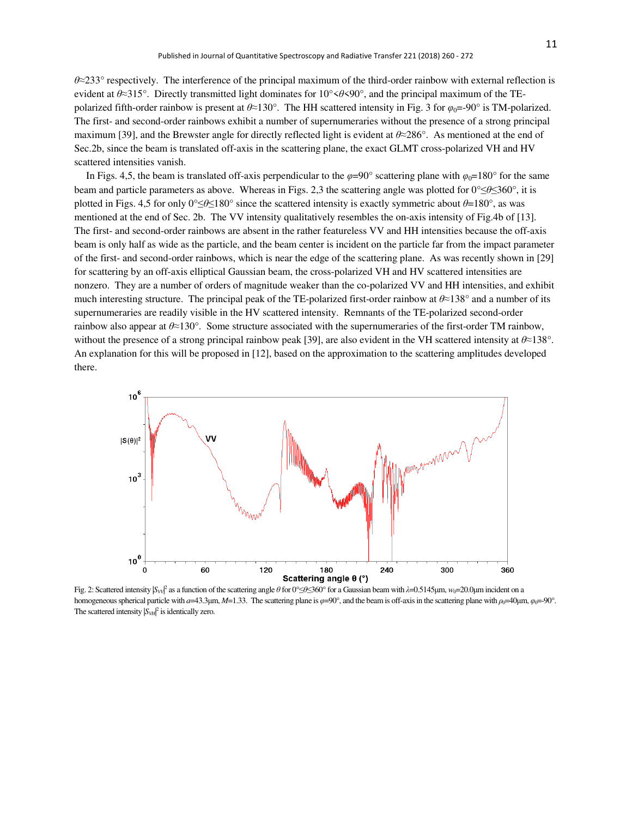*θ*≈233° respectively. The interference of the principal maximum of the third-order rainbow with external reflection is evident at *θ*≈315°. Directly transmitted light dominates for 10°<*θ*<90°, and the principal maximum of the TEpolarized fifth-order rainbow is present at  $\theta \approx 130^\circ$ . The HH scattered intensity in Fig. 3 for  $\varphi_0 = -90^\circ$  is TM-polarized. The first- and second-order rainbows exhibit a number of supernumeraries without the presence of a strong principal maximum [39], and the Brewster angle for directly reflected light is evident at *θ*≈286°. As mentioned at the end of Sec.2b, since the beam is translated off-axis in the scattering plane, the exact GLMT cross-polarized VH and HV scattered intensities vanish.

In Figs. 4,5, the beam is translated of f-axis perpendicular to the  $\varphi = 90^\circ$  scattering plane with  $\varphi_0 = 180^\circ$  for the same beam and particle parameters as above. Whereas in Figs. 2,3 the scattering angle was plotted for 0°≤*θ*≤360°, it is plotted in Figs. 4,5 for only 0°≤*θ*≤180° since the scattered intensity is exactly symmetric about *θ*=180°, as was mentioned at the end of Sec. 2b. The VV intensity qualitatively resembles the on-axis intensity of Fig.4b of [13]. The first- and second-order rainbows are absent in the rather featureless VV and HH intensities because the off-axis beam is only half as wide as the particle, and the beam center is incident on the particle far from the impact parameter of the first- and second-order rainbows, which is near the edge of the scattering plane. As was recently shown in [29] for scattering by an off-axis elliptical Gaussian beam, the cross-polarized VH and HV scattered intensities are nonzero. They are a number of orders of magnitude weaker than the co-polarized VV and HH intensities, and exhibit much interesting structure. The principal peak of the TE-polarized first-order rainbow at *θ*≈138° and a number of its supernumeraries are readily visible in the HV scattered intensity. Remnants of the TE-polarized second-order rainbow also appear at *θ*≈130°. Some structure associated with the supernumeraries of the first-order TM rainbow, without the presence of a strong principal rainbow peak [39], are also evident in the VH scattered intensity at *θ*≈138°. An explanation for this will be proposed in [12], based on the approximation to the scattering amplitudes developed there.



Fig. 2: Scattered intensity |*S*<sub>*V*I<sup>*Q*</sup> as a function of the scattering angle *θ* for 0°≤*θ*≤360° for a Gaussian beam with *λ*=0.5145μm, *w*<sub>0</sub>=20.0μm incident on a</sub> homogeneous spherical particle with *a*=43.3μm, *M*=1.33. The scattering plane is *φ*=90°, and the beam is off-axis in the scattering plane with *ρ*<sub>0</sub>=40μm, *φ*<sub>0</sub>=-90°. The scattered intensity  $|S_{VH}|^2$  is identically zero.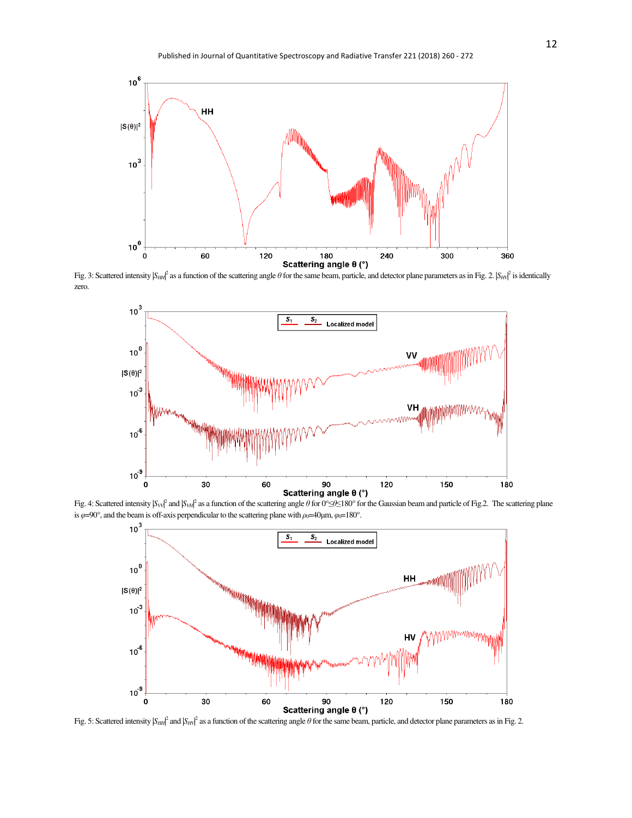

Fig. 3: Scattered intensity  $|S_{HH}|^2$  as a function of the scattering angle  $\theta$  for the same beam, particle, and detector plane parameters as in Fig. 2.  $|S_{HH}|^2$  is identically zero.



Fig. 4: Scattered intensity |*Sv*<sub>|</sub>*V*<sup>|</sup> and |*Sv<sub>H</sub>*<sup>|</sup> as a function of the scattering angle *θ* for 0°≤*θ*≤180° for the Gaussian beam and particle of Fig.2. The scattering plane is  $\varphi$ =90°, and the beam is off-axis perpendicular to the scattering plane with  $\rho_0$ =40μm,  $\varphi_0$ =180°.



Fig. 5: Scattered intensity  $|S_{HH}|^2$  and  $|S_{HH}|^2$  as a function of the scattering angle  $\theta$  for the same beam, particle, and detector plane parameters as in Fig. 2.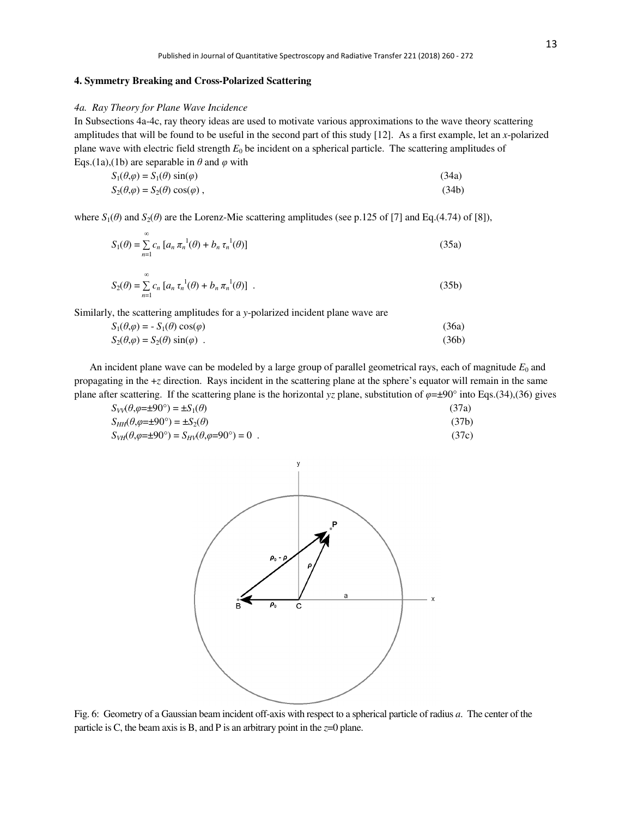## **4. Symmetry Breaking and Cross-Polarized Scattering**

## *4a. Ray Theory for Plane Wave Incidence*

In Subsections 4a-4c, ray theory ideas are used to motivate various approximations to the wave theory scattering amplitudes that will be found to be useful in the second part of this study [12]. As a first example, let an *x*-polarized plane wave with electric field strength  $E_0$  be incident on a spherical particle. The scattering amplitudes of Eqs.(1a),(1b) are separable in  $\theta$  and  $\varphi$  with

| $S_1(\theta,\varphi) = S_1(\theta) \sin(\varphi)$   | (34a) |
|-----------------------------------------------------|-------|
| $S_2(\theta,\varphi) = S_2(\theta) \cos(\varphi)$ , | (34b) |

where  $S_1(\theta)$  and  $S_2(\theta)$  are the Lorenz-Mie scattering amplitudes (see p.125 of [7] and Eq.(4.74) of [8]),

$$
S_1(\theta) = \sum_{n=1}^{\infty} c_n \left[ a_n \pi_n^{-1}(\theta) + b_n \tau_n^{-1}(\theta) \right]
$$
 (35a)

$$
S_2(\theta) = \sum_{n=1}^{\infty} c_n \left[ a_n \tau_n^{-1}(\theta) + b_n \pi_n^{-1}(\theta) \right] \ . \tag{35b}
$$

Similarly, the scattering amplitudes for a *y*-polarized incident plane wave are

$$
S_1(\theta, \varphi) = -S_1(\theta) \cos(\varphi)
$$
  
\n
$$
S_2(\theta, \varphi) = S_2(\theta) \sin(\varphi)
$$
 (36a)  
\n(36b)

An incident plane wave can be modeled by a large group of parallel geometrical rays, each of magnitude  $E_0$  and propagating in the +*z* direction. Rays incident in the scattering plane at the sphere's equator will remain in the same plane after scattering. If the scattering plane is the horizontal *yz* plane, substitution of *φ*=±90° into Eqs.(34),(36) gives

| $S_{VV}(\theta, \varphi = \pm 90^\circ) = \pm S_1(\theta)$                              | (37a) |
|-----------------------------------------------------------------------------------------|-------|
| $S_{HH}(\theta, \varphi = \pm 90^{\circ}) = \pm S_2(\theta)$                            | (37b) |
| $S_{VH}(\theta, \varphi = \pm 90^{\circ}) = S_{HV}(\theta, \varphi = 90^{\circ}) = 0$ . | (37c) |



Fig. 6: Geometry of a Gaussian beam incident off-axis with respect to a spherical particle of radius *a*. The center of the particle is C, the beam axis is B, and P is an arbitrary point in the  $z=0$  plane.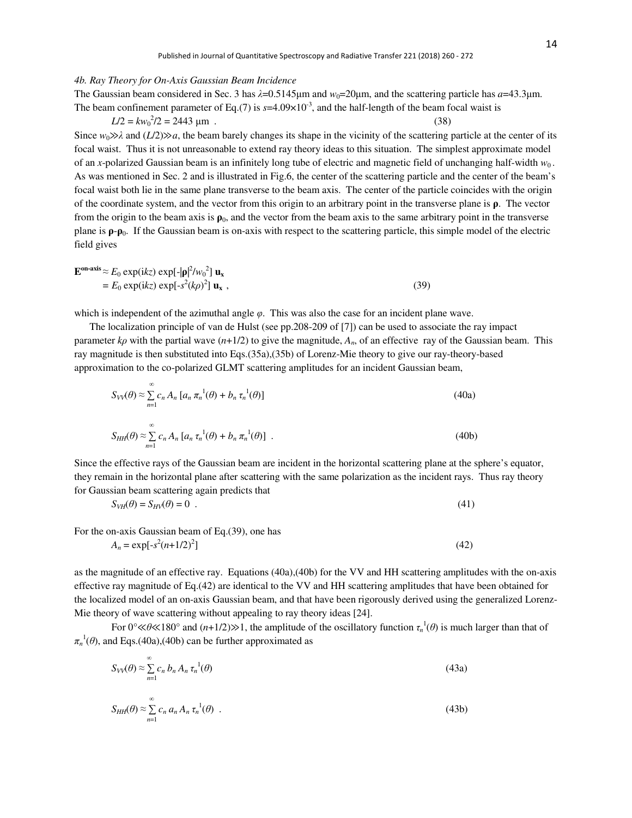#### *4b. Ray Theory for On-Axis Gaussian Beam Incidence*

## The Gaussian beam considered in Sec. 3 has  $\lambda$ =0.5145 $\mu$ m and  $w_0$ =20 $\mu$ m, and the scattering particle has *a*=43.3 $\mu$ m. The beam confinement parameter of Eq.(7) is  $s=4.09\times10^{-3}$ , and the half-length of the beam focal waist is

 $L/2 = kw_0^2/2 = 2443 \text{ }\mu\text{m}$ . (38)

Since  $w_0 \gg \lambda$  and  $(L/2) \gg a$ , the beam barely changes its shape in the vicinity of the scattering particle at the center of its focal waist. Thus it is not unreasonable to extend ray theory ideas to this situation. The simplest approximate model of an *x*-polarized Gaussian beam is an infinitely long tube of electric and magnetic field of unchanging half-width  $w_0$ . As was mentioned in Sec. 2 and is illustrated in Fig.6, the center of the scattering particle and the center of the beam's focal waist both lie in the same plane transverse to the beam axis. The center of the particle coincides with the origin of the coordinate system, and the vector from this origin to an arbitrary point in the transverse plane is **ρ**. The vector from the origin to the beam axis is  $\rho_0$ , and the vector from the beam axis to the same arbitrary point in the transverse plane is  $\rho$ - $\rho$ <sub>0</sub>. If the Gaussian beam is on-axis with respect to the scattering particle, this simple model of the electric field gives

$$
\mathbf{E}^{\text{on-axis}} \approx E_0 \exp(ikz) \exp[-|\mathbf{\rho}|^2 / w_0^2] \mathbf{u}_x
$$
  
= E\_0 \exp(ikz) \exp[-s^2 (k\rho)^2] \mathbf{u}\_x , (39)

which is independent of the azimuthal angle *φ*. This was also the case for an incident plane wave.

 The localization principle of van de Hulst (see pp.208-209 of [7]) can be used to associate the ray impact parameter  $k\rho$  with the partial wave  $(n+1/2)$  to give the magnitude,  $A_n$ , of an effective ray of the Gaussian beam. This ray magnitude is then substituted into Eqs.(35a),(35b) of Lorenz-Mie theory to give our ray-theory-based approximation to the co-polarized GLMT scattering amplitudes for an incident Gaussian beam,

$$
S_{VV}(\theta) \approx \sum_{n=1}^{\infty} c_n A_n \left[ a_n \pi_n^{-1}(\theta) + b_n \tau_n^{-1}(\theta) \right]
$$
 (40a)

$$
S_{HH}(\theta) \approx \sum_{n=1}^{\infty} c_n A_n \left[ a_n \tau_n^{-1}(\theta) + b_n \pi_n^{-1}(\theta) \right] \ . \tag{40b}
$$

Since the effective rays of the Gaussian beam are incident in the horizontal scattering plane at the sphere's equator, they remain in the horizontal plane after scattering with the same polarization as the incident rays. Thus ray theory for Gaussian beam scattering again predicts that

$$
S_{VH}(\theta) = S_{HV}(\theta) = 0 \tag{41}
$$

For the on-axis Gaussian beam of Eq.(39), one has

 $A_n = \exp[-s^2(n+1/2)^2]$  $\lbrack$  (42)

as the magnitude of an effective ray. Equations (40a),(40b) for the VV and HH scattering amplitudes with the on-axis effective ray magnitude of Eq.(42) are identical to the VV and HH scattering amplitudes that have been obtained for the localized model of an on-axis Gaussian beam, and that have been rigorously derived using the generalized Lorenz-Mie theory of wave scattering without appealing to ray theory ideas [24].

For  $0^{\circ}$   $\ll$   $\theta$   $\ll$  180° and  $(n+1/2)$   $\gg$  1, the amplitude of the oscillatory function  $\tau_n^{-1}(\theta)$  is much larger than that of  $\pi_n^{-1}(\theta)$ , and Eqs.(40a),(40b) can be further approximated as

$$
S_{VV}(\theta) \approx \sum_{n=1}^{\infty} c_n b_n A_n \tau_n^{-1}(\theta)
$$
\n(43a)

$$
S_{HH}(\theta) \approx \sum_{n=1}^{\infty} c_n a_n A_n \tau_n^{-1}(\theta) \tag{43b}
$$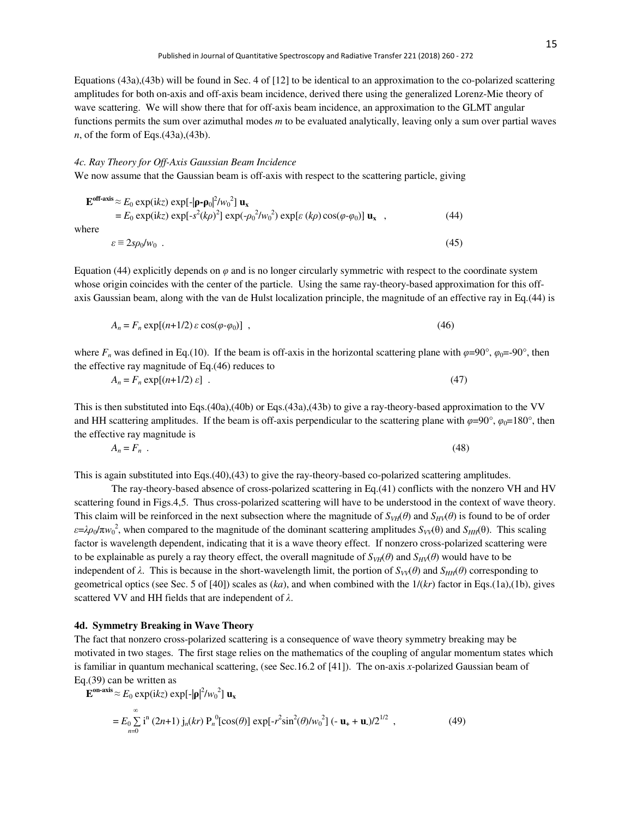Equations (43a),(43b) will be found in Sec. 4 of [12] to be identical to an approximation to the co-polarized scattering amplitudes for both on-axis and off-axis beam incidence, derived there using the generalized Lorenz-Mie theory of wave scattering. We will show there that for off-axis beam incidence, an approximation to the GLMT angular functions permits the sum over azimuthal modes *m* to be evaluated analytically, leaving only a sum over partial waves *n*, of the form of Eqs.(43a),(43b).

#### *4c. Ray Theory for Off-Axis Gaussian Beam Incidence*

We now assume that the Gaussian beam is off-axis with respect to the scattering particle, giving

$$
\mathbf{E}^{\text{off-axis}} \approx E_0 \exp(ikz) \exp[-|\mathbf{\rho} - \mathbf{\rho}_0|^2 / w_0^2] \mathbf{u}_x
$$
  
=  $E_0 \exp(ikz) \exp[-s^2(k\rho)^2] \exp(-\rho_0^2 / w_0^2) \exp[\varepsilon (k\rho) \cos(\varphi - \varphi_0)] \mathbf{u}_x$ , (44)  
there

W

$$
\varepsilon \equiv 2s\rho_0/w_0 \tag{45}
$$

Equation (44) explicitly depends on *φ* and is no longer circularly symmetric with respect to the coordinate system whose origin coincides with the center of the particle. Using the same ray-theory-based approximation for this offaxis Gaussian beam, along with the van de Hulst localization principle, the magnitude of an effective ray in Eq.(44) is

$$
A_n = F_n \exp[(n+1/2)\varepsilon \cos(\varphi \cdot \varphi_0)] \tag{46}
$$

where  $F_n$  was defined in Eq.(10). If the beam is off-axis in the horizontal scattering plane with  $\varphi$ =90°,  $\varphi_0$ =-90°, then the effective ray magnitude of Eq.(46) reduces to

$$
A_n = F_n \exp[(n+1/2) \varepsilon] \tag{47}
$$

This is then substituted into Eqs.(40a),(40b) or Eqs.(43a),(43b) to give a ray-theory-based approximation to the VV and HH scattering amplitudes. If the beam is off-axis perpendicular to the scattering plane with  $\varphi=90^\circ$ ,  $\varphi_0=180^\circ$ , then the effective ray magnitude is

$$
A_n = F_n \tag{48}
$$

This is again substituted into Eqs.(40),(43) to give the ray-theory-based co-polarized scattering amplitudes.

The ray-theory-based absence of cross-polarized scattering in Eq.(41) conflicts with the nonzero VH and HV scattering found in Figs.4,5. Thus cross-polarized scattering will have to be understood in the context of wave theory. This claim will be reinforced in the next subsection where the magnitude of  $S_{VH}(\theta)$  and  $S_{HV}(\theta)$  is found to be of order  $\varepsilon = \lambda \rho_0 / \pi w_0^2$ , when compared to the magnitude of the dominant scattering amplitudes  $S_{VV}(\theta)$  and  $S_{HH}(\theta)$ . This scaling factor is wavelength dependent, indicating that it is a wave theory effect. If nonzero cross-polarized scattering were to be explainable as purely a ray theory effect, the overall magnitude of  $S_{VH}(\theta)$  and  $S_{HV}(\theta)$  would have to be independent of  $λ$ . This is because in the short-wavelength limit, the portion of  $S_{V}(θ)$  and  $S_{HH}(θ)$  corresponding to geometrical optics (see Sec. 5 of [40]) scales as (*ka*), and when combined with the 1/(*kr*) factor in Eqs.(1a),(1b), gives scattered VV and HH fields that are independent of *λ*.

#### **4d. Symmetry Breaking in Wave Theory**

The fact that nonzero cross-polarized scattering is a consequence of wave theory symmetry breaking may be motivated in two stages. The first stage relies on the mathematics of the coupling of angular momentum states which is familiar in quantum mechanical scattering, (see Sec.16.2 of [41]). The on-axis *x*-polarized Gaussian beam of Eq.(39) can be written as

$$
\mathbf{E}^{\text{on-axis}} \approx E_0 \exp(ikz) \exp[-|\mathbf{p}|^2 / w_0^2] \mathbf{u}_x
$$
  
=  $E_0 \sum_{n=0}^{\infty} i^n (2n+1) j_n(kr) P_n^0[\cos(\theta)] \exp[-r^2 \sin^2(\theta) / w_0^2] (-\mathbf{u}_+ + \mathbf{u}_-)/2^{1/2}$ , (49)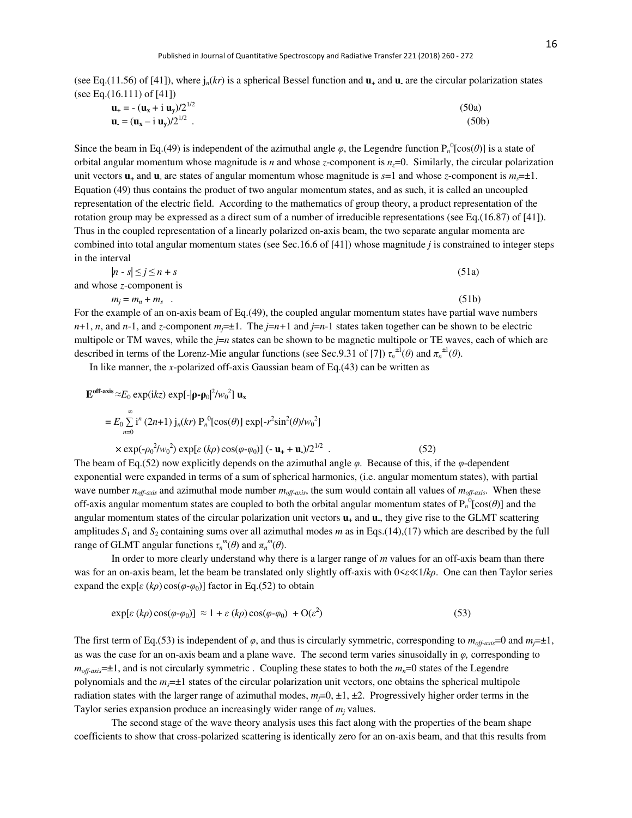(see Eq.(11.56) of [41]), where  $j_n(kr)$  is a spherical Bessel function and  $\mathbf{u}_+$  and  $\mathbf{u}_-$  are the circular polarization states (see Eq.(16.111) of [41])

| $\mathbf{u}_{+} = -(\mathbf{u}_{x} + i \mathbf{u}_{y})/2^{1/2}$                | (50a)              |
|--------------------------------------------------------------------------------|--------------------|
| $\mathbf{u} = (\mathbf{u}_{\mathbf{x}} - i \mathbf{u}_{\mathbf{y}})/2^{1/2}$ . | (50 <sub>b</sub> ) |

Since the beam in Eq.(49) is independent of the azimuthal angle  $\varphi$ , the Legendre function  $P_n^0$ [cos( $\theta$ )] is a state of orbital angular momentum whose magnitude is *n* and whose *z*-component is *nz*=0. Similarly, the circular polarization unit vectors  $\mathbf{u}_+$  and  $\mathbf{u}_-$  are states of angular momentum whose magnitude is  $s=1$  and whose *z*-component is  $m_s=\pm 1$ . Equation (49) thus contains the product of two angular momentum states, and as such, it is called an uncoupled representation of the electric field. According to the mathematics of group theory, a product representation of the rotation group may be expressed as a direct sum of a number of irreducible representations (see Eq.(16.87) of [41]). Thus in the coupled representation of a linearly polarized on-axis beam, the two separate angular momenta are combined into total angular momentum states (see Sec.16.6 of [41]) whose magnitude *j* is constrained to integer steps in the interval

$$
|n - s| \le j \le n + s \tag{51a}
$$
  
and whose *z*-component is

$$
m_j = m_n + m_s \tag{51b}
$$

For the example of an on-axis beam of Eq.(49), the coupled angular momentum states have partial wave numbers *n*+1, *n*, and *n*-1, and *z*-component  $m_i = \pm 1$ . The  $j = n+1$  and  $j = n-1$  states taken together can be shown to be electric multipole or TM waves, while the *j*=*n* states can be shown to be magnetic multipole or TE waves, each of which are described in terms of the Lorenz-Mie angular functions (see Sec.9.31 of [7])  $\tau_n^{\pm 1}(\theta)$  and  $\pi_n^{\pm 1}(\theta)$ .

In like manner, the *x*-polarized off-axis Gaussian beam of Eq.(43) can be written as

$$
\mathbf{E}^{\text{off-axis}} \approx E_0 \exp(ikz) \exp[-|\mathbf{\rho} - \mathbf{\rho}_0|^2 / w_0^2] \mathbf{u}_x
$$
  
=  $E_0 \sum_{n=0}^{\infty} i^n (2n+1) j_n(kr) P_n^0[\cos(\theta)] \exp[-r^2 \sin^2(\theta) / w_0^2]$   
 $\times \exp(-\rho_0^2 / w_0^2) \exp[\varepsilon (k\rho) \cos(\varphi - \varphi_0)] (-\mathbf{u}_+ + \mathbf{u})/2^{1/2}$  (52)  
as been of Eq. (52) now explicitly depends on the azimuthal angle  $\alpha$ . Because of this if the  $\alpha$  depends on the

The beam of Eq.(52) now explicitly depends on the azimuthal angle *φ*. Because of this, if the *φ*-dependent exponential were expanded in terms of a sum of spherical harmonics, (i.e. angular momentum states), with partial wave number *noff-axis* and azimuthal mode number *moff-axis*, the sum would contain all values of *moff-axis*. When these off-axis angular momentum states are coupled to both the orbital angular momentum states of  $P_n^0[\cos(\theta)]$  and the angular momentum states of the circular polarization unit vectors **u+** and **u-** , they give rise to the GLMT scattering amplitudes  $S_1$  and  $S_2$  containing sums over all azimuthal modes *m* as in Eqs.(14),(17) which are described by the full range of GLMT angular functions  $\tau_n^m(\theta)$  and  $\pi_n^m(\theta)$ .

In order to more clearly understand why there is a larger range of *m* values for an off-axis beam than there was for an on-axis beam, let the beam be translated only slightly off-axis with 0<*ε*≪1/*kρ*. One can then Taylor series expand the exp[ $\varepsilon$  ( $k\rho$ ) cos( $\varphi$ - $\varphi$ <sub>0</sub>)] factor in Eq.(52) to obtain

$$
\exp[\varepsilon(k\rho)\cos(\varphi\cdot\varphi_0)] \approx 1 + \varepsilon(k\rho)\cos(\varphi\cdot\varphi_0) + O(\varepsilon^2)
$$
\n(53)

The first term of Eq.(53) is independent of  $\varphi$ , and thus is circularly symmetric, corresponding to  $m_{\text{off-axis}}=0$  and  $m_{\text{f}}=±1$ , as was the case for an on-axis beam and a plane wave. The second term varies sinusoidally in *φ,* corresponding to  $m_{ofi\text{-}axis}=1$ , and is not circularly symmetric. Coupling these states to both the  $m_n=0$  states of the Legendre polynomials and the *ms*=±1 states of the circular polarization unit vectors, one obtains the spherical multipole radiation states with the larger range of azimuthal modes,  $m<sub>j</sub>=0, \pm 1, \pm 2$ . Progressively higher order terms in the Taylor series expansion produce an increasingly wider range of  $m_j$  values.

The second stage of the wave theory analysis uses this fact along with the properties of the beam shape coefficients to show that cross-polarized scattering is identically zero for an on-axis beam, and that this results from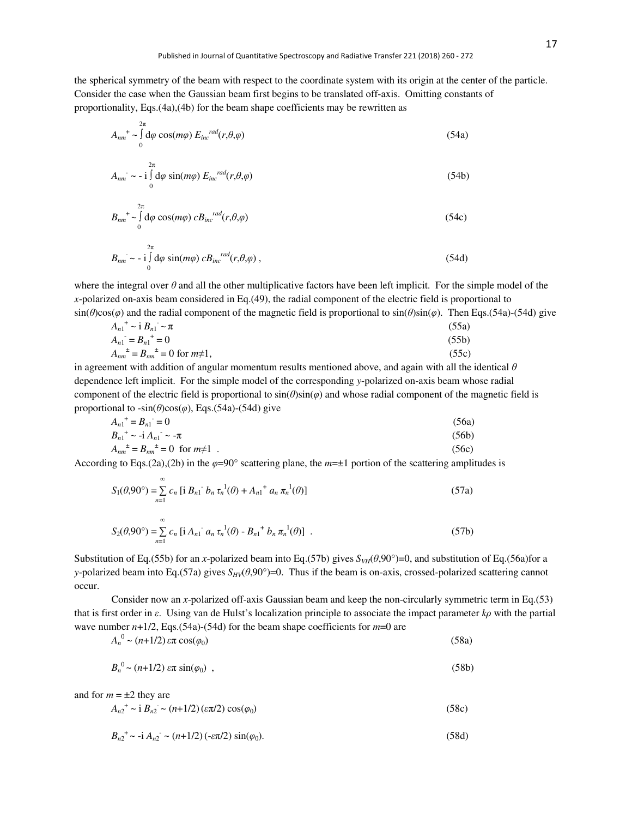the spherical symmetry of the beam with respect to the coordinate system with its origin at the center of the particle. Consider the case when the Gaussian beam first begins to be translated off-axis. Omitting constants of proportionality, Eqs.(4a),(4b) for the beam shape coefficients may be rewritten as

$$
A_{nm}^{\dagger} \sim \int_{0}^{2\pi} d\varphi \cos(m\varphi) E_{inc}^{rad}(r,\theta,\varphi)
$$
 (54a)

$$
A_{nm} \sim -i \int_{0}^{2\pi} d\varphi \sin(m\varphi) E_{inc}^{rad}(r,\theta,\varphi)
$$
 (54b)

$$
B_{nm}^{+} \sim \int_{0}^{2\pi} d\varphi \cos(m\varphi) \, c B_{inc}^{rad}(r, \theta, \varphi) \tag{54c}
$$

$$
B_{nm} \sim -i \int_{0}^{2\pi} d\varphi \sin(m\varphi) c B_{inc}^{rad}(r,\theta,\varphi) , \qquad (54d)
$$

where the integral over  $\theta$  and all the other multiplicative factors have been left implicit. For the simple model of the *x*-polarized on-axis beam considered in Eq.(49), the radial component of the electric field is proportional to sin(*θ*)cos(*φ*) and the radial component of the magnetic field is proportional to sin(*θ*)sin(*φ*). Then Eqs.(54a)-(54d) give

$$
A_{n1}^+ \sim i B_{n1}^- \sim \pi
$$
\n(55a)  
\n
$$
A_{n1}^- = B_{n1}^+ = 0
$$
\n(55b)  
\n
$$
A_{nm}^+ = B_{nm}^+ = 0 \text{ for } m \neq 1,
$$
\n(55c)

in agreement with addition of angular momentum results mentioned above, and again with all the identical *θ* dependence left implicit. For the simple model of the corresponding *y*-polarized on-axis beam whose radial component of the electric field is proportional to  $sin(\theta)sin(\phi)$  and whose radial component of the magnetic field is proportional to  $-sin(\theta)cos(\phi)$ , Eqs.(54a)-(54d) give

$$
A_{n1}^+ = B_{n1} = 0 \tag{56a}
$$
  
\n
$$
B_{n1}^+ \sim -\mathrm{i} A_{n1} \sim -\pi \tag{56b}
$$

$$
A_{nm}^{\ \ \pm} = B_{nm}^{\ \ \pm} = 0 \ \text{ for } m \neq 1 \tag{56c}
$$

According to Eqs.(2a),(2b) in the  $\varphi=90^\circ$  scattering plane, the  $m=\pm 1$  portion of the scattering amplitudes is

$$
S_1(\theta,90^\circ) = \sum_{n=1}^{\infty} c_n \left[ i B_{n1} \right] b_n \tau_n^{-1}(\theta) + A_{n1} \tau a_n \pi_n^{-1}(\theta) \right]
$$
 (57a)

$$
S_2(\theta,90^\circ) = \sum_{n=1}^{\infty} c_n \left[ i A_{n1} \right] a_n \tau_n^{-1}(\theta) - B_{n1} \right] b_n \pi_n^{-1}(\theta) \quad . \tag{57b}
$$

Substitution of Eq.(55b) for an *x*-polarized beam into Eq.(57b) gives  $S_{VH}(\theta,90^\circ)=0$ , and substitution of Eq.(56a)for a *y*-polarized beam into Eq.(57a) gives  $S_{HV}(\theta,90^{\circ})=0$ . Thus if the beam is on-axis, crossed-polarized scattering cannot occur.

Consider now an *x*-polarized off-axis Gaussian beam and keep the non-circularly symmetric term in Eq.(53) that is first order in *ε*. Using van de Hulst's localization principle to associate the impact parameter *kρ* with the partial wave number  $n+1/2$ , Eqs.(54a)-(54d) for the beam shape coefficients for  $m=0$  are

$$
A_n^0 \sim (n+1/2) \exp \cos(\varphi_0)
$$
\n
$$
B_n^0 \sim (n+1/2) \exp \sin(\varphi_0)
$$
\n
$$
(58a)
$$
\n
$$
(58b)
$$

and for  $m = \pm 2$  they are

$$
A_{n2}^{\dagger} \sim i B_{n2} \sim (n+1/2) (\varepsilon \pi/2) \cos(\varphi_0)
$$
 (58c)

$$
B_{n2}^{\dagger} \sim -i A_{n2}^{\dagger} \sim (n+1/2) (-\varepsilon \pi/2) \sin(\varphi_0). \tag{58d}
$$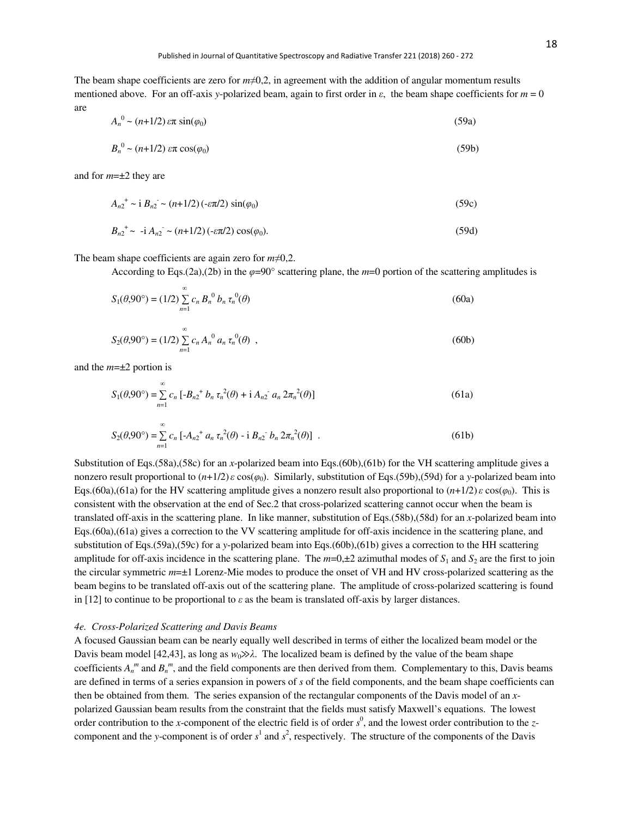The beam shape coefficients are zero for *m*≠0,2, in agreement with the addition of angular momentum results mentioned above. For an off-axis *y*-polarized beam, again to first order in *ε*, the beam shape coefficients for *m* = 0 are

$$
A_n^0 \sim (n+1/2)\,\varepsilon\pi\,\sin(\varphi_0) \tag{59a}
$$

$$
B_n^0 \sim (n+1/2) \, \varepsilon \pi \cos(\varphi_0) \tag{59b}
$$

and for *m*=±2 they are

$$
A_{n2}^{\dagger} \sim i B_{n2} \sim (n+1/2) \left(-\varepsilon \pi/2\right) \sin(\varphi_0)
$$
 (59c)

$$
B_{n2}^+ \sim -\mathrm{i} A_{n2}^- \sim (n+1/2)(-\varepsilon \pi/2) \cos(\varphi_0). \tag{59d}
$$

The beam shape coefficients are again zero for *m*≠0,2.

According to Eqs.(2a),(2b) in the  $\varphi$ =90° scattering plane, the *m*=0 portion of the scattering amplitudes is

$$
S_1(\theta,90^\circ) = (1/2) \sum_{n=1}^{\infty} c_n B_n^0 b_n \tau_n^0(\theta)
$$
 (60a)

$$
S_2(\theta,90^\circ) = (1/2) \sum_{n=1}^{\infty} c_n A_n^0 a_n \tau_n^0(\theta) , \qquad (60b)
$$

and the *m*=±2 portion is

$$
S_1(\theta,90^\circ) = \sum_{n=1}^{\infty} c_n \left[ -B_{n2}^+ b_n \tau_n^2(\theta) + i A_{n2}^- a_n \, 2\pi_n^2(\theta) \right]
$$
 (61a)

$$
S_2(\theta,90^\circ) = \sum_{n=1}^{\infty} c_n \left[ -A_{n2}^+ a_n \tau_n^2(\theta) - i B_{n2} b_n \, 2\pi_n^2(\theta) \right] \ . \tag{61b}
$$

Substitution of Eqs.(58a),(58c) for an *x*-polarized beam into Eqs.(60b),(61b) for the VH scattering amplitude gives a nonzero result proportional to (*n*+1/2)*ε* cos(*φ*0). Similarly, substitution of Eqs.(59b),(59d) for a *y*-polarized beam into Eqs.(60a),(61a) for the HV scattering amplitude gives a nonzero result also proportional to (*n*+1/2)*ε* cos(*φ*0). This is consistent with the observation at the end of Sec.2 that cross-polarized scattering cannot occur when the beam is translated off-axis in the scattering plane. In like manner, substitution of Eqs.(58b),(58d) for an *x*-polarized beam into Eqs.(60a),(61a) gives a correction to the VV scattering amplitude for off-axis incidence in the scattering plane, and substitution of Eqs.(59a),(59c) for a *y*-polarized beam into Eqs.(60b),(61b) gives a correction to the HH scattering amplitude for off-axis incidence in the scattering plane. The  $m=0,\pm 2$  azimuthal modes of  $S_1$  and  $S_2$  are the first to join the circular symmetric *m*=±1 Lorenz-Mie modes to produce the onset of VH and HV cross-polarized scattering as the beam begins to be translated off-axis out of the scattering plane. The amplitude of cross-polarized scattering is found in [12] to continue to be proportional to *ε* as the beam is translated off-axis by larger distances.

#### *4e. Cross-Polarized Scattering and Davis Beams*

A focused Gaussian beam can be nearly equally well described in terms of either the localized beam model or the Davis beam model [42,43], as long as  $w_0 \gg \lambda$ . The localized beam is defined by the value of the beam shape coefficients  $A_n^m$  and  $B_n^m$ , and the field components are then derived from them. Complementary to this, Davis beams are defined in terms of a series expansion in powers of *s* of the field components, and the beam shape coefficients can then be obtained from them. The series expansion of the rectangular components of the Davis model of an *x*polarized Gaussian beam results from the constraint that the fields must satisfy Maxwell's equations. The lowest order contribution to the *x*-component of the electric field is of order  $s^0$ , and the lowest order contribution to the *z*component and the *y*-component is of order  $s^1$  and  $s^2$ , respectively. The structure of the components of the Davis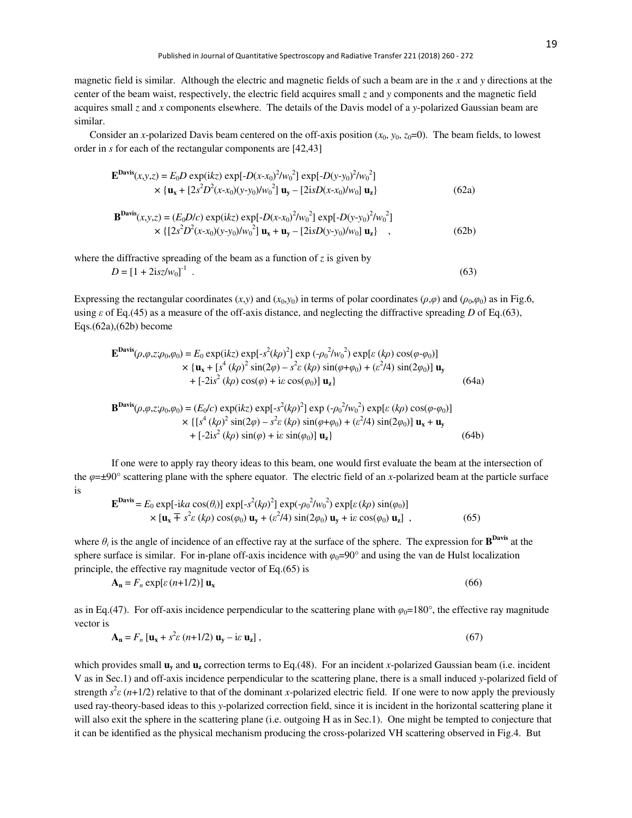magnetic field is similar. Although the electric and magnetic fields of such a beam are in the *x* and *y* directions at the center of the beam waist, respectively, the electric field acquires small *z* and *y* components and the magnetic field acquires small *z* and *x* components elsewhere. The details of the Davis model of a *y*-polarized Gaussian beam are similar.

Consider an *x*-polarized Davis beam centered on the off-axis position  $(x_0, y_0, z_0=0)$ . The beam fields, to lowest order in *s* for each of the rectangular components are [42,43]

$$
\mathbf{E}^{\mathbf{Davis}}(x,y,z) = E_0 D \exp(ikz) \exp[-D(x-x_0)^2 / w_0^2] \exp[-D(y-y_0)^2 / w_0^2]
$$
  
× { $\mathbf{u}_x$  + [2s<sup>2</sup>D<sup>2</sup>(x-x\_0)(y-y\_0) / w\_0^2]  $\mathbf{u}_y$  - [2isD(x-x\_0) / w\_0]  $\mathbf{u}_z$ } (62a)

$$
\mathbf{B}^{\mathbf{Davis}}(x,y,z) = (E_0 D/c) \exp(ikz) \exp[-D(x-x_0)^2 / w_0^2] \exp[-D(y-y_0)^2 / w_0^2]
$$
  
× {[2s<sup>2</sup>D<sup>2</sup>(x-x<sub>0</sub>)(y-y<sub>0</sub>)/w<sub>0</sub><sup>2</sup> ] **u<sub>x</sub>** + **u<sub>y</sub>** - [2isD(y-y<sub>0</sub>)/w<sub>0</sub>]**u<sub>z</sub>** }, (62b)

where the diffractive spreading of the beam as a function of  $\zeta$  is given by  $D = [1 + 2isz/w_0]^{-1}$  $\qquad \qquad \cdot$  (63)

Expressing the rectangular coordinates  $(x, y)$  and  $(x_0, y_0)$  in terms of polar coordinates  $(\rho, \varphi)$  and  $(\rho_0, \varphi_0)$  as in Fig.6, using *ε* of Eq.(45) as a measure of the off-axis distance, and neglecting the diffractive spreading *D* of Eq.(63), Eqs.(62a),(62b) become

$$
\mathbf{E}^{\mathbf{Davis}}(\rho,\varphi,z;\rho_0,\varphi_0) = E_0 \exp(ikz) \exp[-s^2(k\rho)^2] \exp(-\rho_0^2/w_0^2) \exp[\varepsilon(k\rho)\cos(\varphi-\varphi_0)]
$$
  
× {**u**<sub>x</sub> + [ $s^4(k\rho)^2 \sin(2\varphi) - s^2\varepsilon(k\rho) \sin(\varphi+\varphi_0) + (\varepsilon^2/4) \sin(2\varphi_0)] uy+ [-2i2(k\rho)\cos(\varphi) + i\varepsilon\cos(\varphi_0)] uz} (64a)$ 

$$
\mathbf{B}^{\mathbf{Davis}}(\rho,\varphi,z;\rho_0,\varphi_0) = (E_0/c) \exp(ikz) \exp[-s^2(k\rho)^2] \exp(-\rho_0^2/w_0^2) \exp[\varepsilon(k\rho)\cos(\varphi-\varphi_0)]
$$
  
× { [s<sup>4</sup>(k\rho)<sup>2</sup> sin(2\varphi) - s<sup>2</sup>\varepsilon (k\rho) sin(\varphi+\varphi\_0) + (\varepsilon^2/4) sin(2\varphi\_0)]  $\mathbf{u_x} + \mathbf{u_y}$   
+ [-2is<sup>2</sup>(k\rho) sin(\varphi) + is sin(\varphi\_0)]  $\mathbf{u_z}$ } (64b)

If one were to apply ray theory ideas to this beam, one would first evaluate the beam at the intersection of the *φ*=±90° scattering plane with the sphere equator. The electric field of an *x*-polarized beam at the particle surface is

$$
\mathbf{E}^{\mathbf{Davis}} = E_0 \exp[-ika \cos(\theta_i)] \exp[-s^2(k\rho)^2] \exp(-\rho_0^2/w_0^2) \exp[\varepsilon(k\rho) \sin(\varphi_0)]
$$
  
× 
$$
[\mathbf{u}_x \mp s^2 \varepsilon (k\rho) \cos(\varphi_0) \mathbf{u}_y + (\varepsilon^2/4) \sin(2\varphi_0) \mathbf{u}_y + i\varepsilon \cos(\varphi_0) \mathbf{u}_z],
$$
 (65)

where  $\theta_i$  is the angle of incidence of an effective ray at the surface of the sphere. The expression for  $B^{Davis}$  at the sphere surface is similar. For in-plane of f-axis incidence with  $\varphi_0=90^\circ$  and using the van de Hulst localization principle, the effective ray magnitude vector of Eq.(65) is

$$
\mathbf{A_n} = F_n \exp[\varepsilon (n+1/2)] \mathbf{u_x}
$$
 (66)

as in Eq.(47). For off-axis incidence perpendicular to the scattering plane with  $\varphi_0 = 180^\circ$ , the effective ray magnitude vector is

$$
\mathbf{A_n} = F_n \left[ \mathbf{u_x} + s^2 \varepsilon \left( n + 1/2 \right) \mathbf{u_y} - i \varepsilon \mathbf{u_z} \right],\tag{67}
$$

which provides small  $\mathbf{u}_\mathbf{y}$  and  $\mathbf{u}_\mathbf{z}$  correction terms to Eq.(48). For an incident *x*-polarized Gaussian beam (i.e. incident V as in Sec.1) and off-axis incidence perpendicular to the scattering plane, there is a small induced *y*-polarized field of strength  $s^2 \varepsilon$  (*n*+1/2) relative to that of the dominant *x*-polarized electric field. If one were to now apply the previously used ray-theory-based ideas to this *y*-polarized correction field, since it is incident in the horizontal scattering plane it will also exit the sphere in the scattering plane (i.e. outgoing H as in Sec.1). One might be tempted to conjecture that it can be identified as the physical mechanism producing the cross-polarized VH scattering observed in Fig.4. But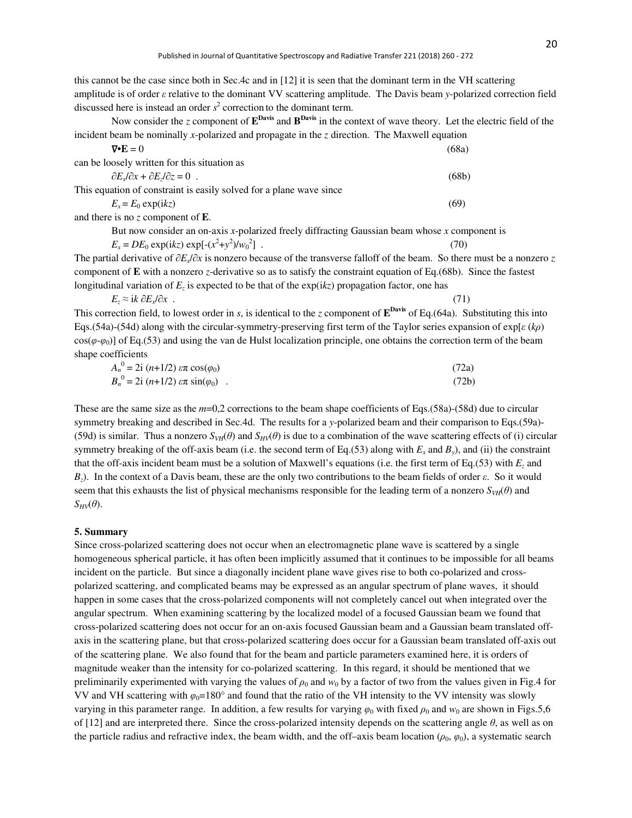this cannot be the case since both in Sec.4c and in [12] it is seen that the dominant term in the VH scattering amplitude is of order *ε* relative to the dominant VV scattering amplitude. The Davis beam *y*-polarized correction field discussed here is instead an order  $s^2$  correction to the dominant term.

| Now consider the z component of $EDavis$ and $BDavis$ in the context of wave theory. Let the electric field of the                         |       |
|--------------------------------------------------------------------------------------------------------------------------------------------|-------|
| incident beam be nominally x-polarized and propagate in the $\zeta$ direction. The Maxwell equation                                        |       |
| $\nabla \cdot \mathbf{E} = 0$                                                                                                              | (68a) |
| can be loosely written for this situation as                                                                                               |       |
| $\partial E_x/\partial x + \partial E_y/\partial z = 0$ .                                                                                  | (68b) |
| This equation of constraint is easily solved for a plane wave since                                                                        |       |
| $E_r = E_0 \exp(i k z)$                                                                                                                    | (69)  |
| and there is no $z$ component of $E$ .                                                                                                     |       |
| But now consider an on-axis x-polarized freely diffracting Gaussian beam whose x component is                                              |       |
| $E_x = DE_0 \exp(ikz) \exp[-(x^2 + y^2)/w_0^2]$ .                                                                                          | (70)  |
| The partial derivative of $\partial E_x/\partial x$ is nonzero because of the transverse falloff of the beam. So there must be a nonzero z |       |
| component of $\bf{E}$ with a nonzero <i>z</i> -derivative so as to satisfy the constraint equation of Eq.(68b). Since the fastest          |       |
| longitudinal variation of $E_z$ is expected to be that of the $exp(ikz)$ propagation factor, one has                                       |       |
| $E_z \approx i k \partial E / \partial x$ .                                                                                                | (71)  |

This correction field, to lowest order in *s*, is identical to the *z* component of  $E^{Davis}$  of Eq.(64a). Substituting this into Eqs.(54a)-(54d) along with the circular-symmetry-preserving first term of the Taylor series expansion of exp[*ε* (*kρ*)  $cos(\varphi \cdot \varphi_0)$ ] of Eq.(53) and using the van de Hulst localization principle, one obtains the correction term of the beam shape coefficients

$$
A_n^0 = 2i (n+1/2) \exp(\varphi_0)
$$
  
\n
$$
B_n^0 = 2i (n+1/2) \exp(\varphi_0)
$$
 (72a) (72b)

These are the same size as the *m*=0,2 corrections to the beam shape coefficients of Eqs.(58a)-(58d) due to circular symmetry breaking and described in Sec.4d. The results for a *y*-polarized beam and their comparison to Eqs.(59a)- (59d) is similar. Thus a nonzero  $S_{VH}(\theta)$  and  $S_{HV}(\theta)$  is due to a combination of the wave scattering effects of (i) circular symmetry breaking of the off-axis beam (i.e. the second term of Eq.(53) along with  $E_x$  and  $B_y$ ), and (ii) the constraint that the off-axis incident beam must be a solution of Maxwell's equations (i.e. the first term of Eq.(53) with  $E_z$  and *Bz*). In the context of a Davis beam, these are the only two contributions to the beam fields of order *ε*. So it would seem that this exhausts the list of physical mechanisms responsible for the leading term of a nonzero  $S_{VH}(\theta)$  and *SHV*(*θ*).

#### **5. Summary**

Since cross-polarized scattering does not occur when an electromagnetic plane wave is scattered by a single homogeneous spherical particle, it has often been implicitly assumed that it continues to be impossible for all beams incident on the particle. But since a diagonally incident plane wave gives rise to both co-polarized and crosspolarized scattering, and complicated beams may be expressed as an angular spectrum of plane waves, it should happen in some cases that the cross-polarized components will not completely cancel out when integrated over the angular spectrum. When examining scattering by the localized model of a focused Gaussian beam we found that cross-polarized scattering does not occur for an on-axis focused Gaussian beam and a Gaussian beam translated offaxis in the scattering plane, but that cross-polarized scattering does occur for a Gaussian beam translated off-axis out of the scattering plane. We also found that for the beam and particle parameters examined here, it is orders of magnitude weaker than the intensity for co-polarized scattering. In this regard, it should be mentioned that we preliminarily experimented with varying the values of  $\rho_0$  and  $w_0$  by a factor of two from the values given in Fig.4 for VV and VH scattering with  $\varphi_0 = 180^\circ$  and found that the ratio of the VH intensity to the VV intensity was slowly varying in this parameter range. In addition, a few results for varying  $\varphi_0$  with fixed  $\rho_0$  and  $w_0$  are shown in Figs.5,6 of [12] and are interpreted there. Since the cross-polarized intensity depends on the scattering angle *θ*, as well as on the particle radius and refractive index, the beam width, and the off–axis beam location ( $\rho_0$ ,  $\varphi_0$ ), a systematic search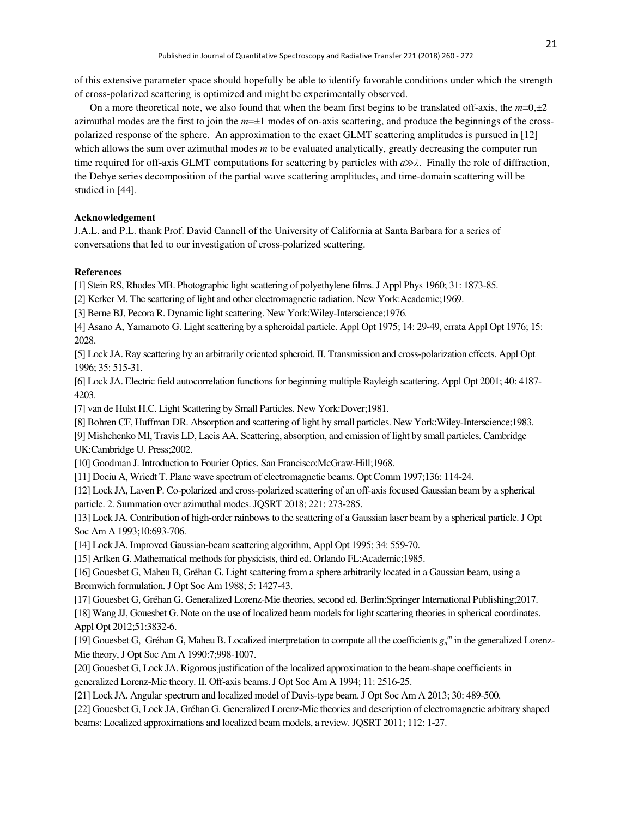of this extensive parameter space should hopefully be able to identify favorable conditions under which the strength of cross-polarized scattering is optimized and might be experimentally observed.

On a more theoretical note, we also found that when the beam first begins to be translated off-axis, the  $m=0,\pm 2$ azimuthal modes are the first to join the  $m=\pm 1$  modes of on-axis scattering, and produce the beginnings of the crosspolarized response of the sphere. An approximation to the exact GLMT scattering amplitudes is pursued in [12] which allows the sum over azimuthal modes *m* to be evaluated analytically, greatly decreasing the computer run time required for off-axis GLMT computations for scattering by particles with *a*≫*λ*. Finally the role of diffraction, the Debye series decomposition of the partial wave scattering amplitudes, and time-domain scattering will be studied in [44].

### **Acknowledgement**

J.A.L. and P.L. thank Prof. David Cannell of the University of California at Santa Barbara for a series of conversations that led to our investigation of cross-polarized scattering.

## **References**

[1] Stein RS, Rhodes MB. Photographic light scattering of polyethylene films. J Appl Phys 1960; 31: 1873-85.

[2] Kerker M. The scattering of light and other electromagnetic radiation. New York:Academic;1969.

[3] Berne BJ, Pecora R. Dynamic light scattering. New York:Wiley-Interscience;1976.

[4] Asano A, Yamamoto G. Light scattering by a spheroidal particle. Appl Opt 1975; 14: 29-49, errata Appl Opt 1976; 15: 2028.

[5] Lock JA. Ray scattering by an arbitrarily oriented spheroid. II. Transmission and cross-polarization effects. Appl Opt 1996; 35: 515-31.

[6] Lock JA. Electric field autocorrelation functions for beginning multiple Rayleigh scattering. Appl Opt 2001; 40: 4187- 4203.

[7] van de Hulst H.C. Light Scattering by Small Particles. New York:Dover;1981.

[8] Bohren CF, Huffman DR. Absorption and scattering of light by small particles. New York:Wiley-Interscience;1983.

[9] Mishchenko MI, Travis LD, Lacis AA. Scattering, absorption, and emission of light by small particles. Cambridge UK:Cambridge U. Press;2002.

[10] Goodman J. Introduction to Fourier Optics. San Francisco: McGraw-Hill;1968.

[11] Dociu A, Wriedt T. Plane wave spectrum of electromagnetic beams. Opt Comm 1997;136: 114-24.

[12] Lock JA, Laven P. Co-polarized and cross-polarized scattering of an off-axis focused Gaussian beam by a spherical particle. 2. Summation over azimuthal modes. JQSRT 2018; 221: 273-285.

[13] Lock JA. Contribution of high-order rainbows to the scattering of a Gaussian laser beam by a spherical particle. J Opt Soc Am A 1993;10:693-706.

[14] Lock JA. Improved Gaussian-beam scattering algorithm, Appl Opt 1995; 34: 559-70.

[15] Arfken G. Mathematical methods for physicists, third ed. Orlando FL:Academic;1985.

[16] Gouesbet G, Maheu B, Gréhan G. Light scattering from a sphere arbitrarily located in a Gaussian beam, using a Bromwich formulation. J Opt Soc Am 1988; 5: 1427-43.

[17] Gouesbet G, Gréhan G. Generalized Lorenz-Mie theories, second ed. Berlin:Springer International Publishing;2017.

[18] Wang JJ, Gouesbet G. Note on the use of localized beam models for light scattering theories in spherical coordinates. Appl Opt 2012;51:3832-6.

[19] Gouesbet G, Gréhan G, Maheu B. Localized interpretation to compute all the coefficients  $g_n^m$  in the generalized Lorenz-Mie theory, J Opt Soc Am A 1990:7;998-1007.

[20] Gouesbet G, Lock JA. Rigorous justification of the localized approximation to the beam-shape coefficients in generalized Lorenz-Mie theory. II. Off-axis beams. J Opt Soc Am A 1994; 11: 2516-25.

[21] Lock JA. Angular spectrum and localized model of Davis-type beam. J Opt Soc Am A 2013; 30: 489-500.

[22] Gouesbet G, Lock JA, Gréhan G. Generalized Lorenz-Mie theories and description of electromagnetic arbitrary shaped beams: Localized approximations and localized beam models, a review. JQSRT 2011; 112: 1-27.